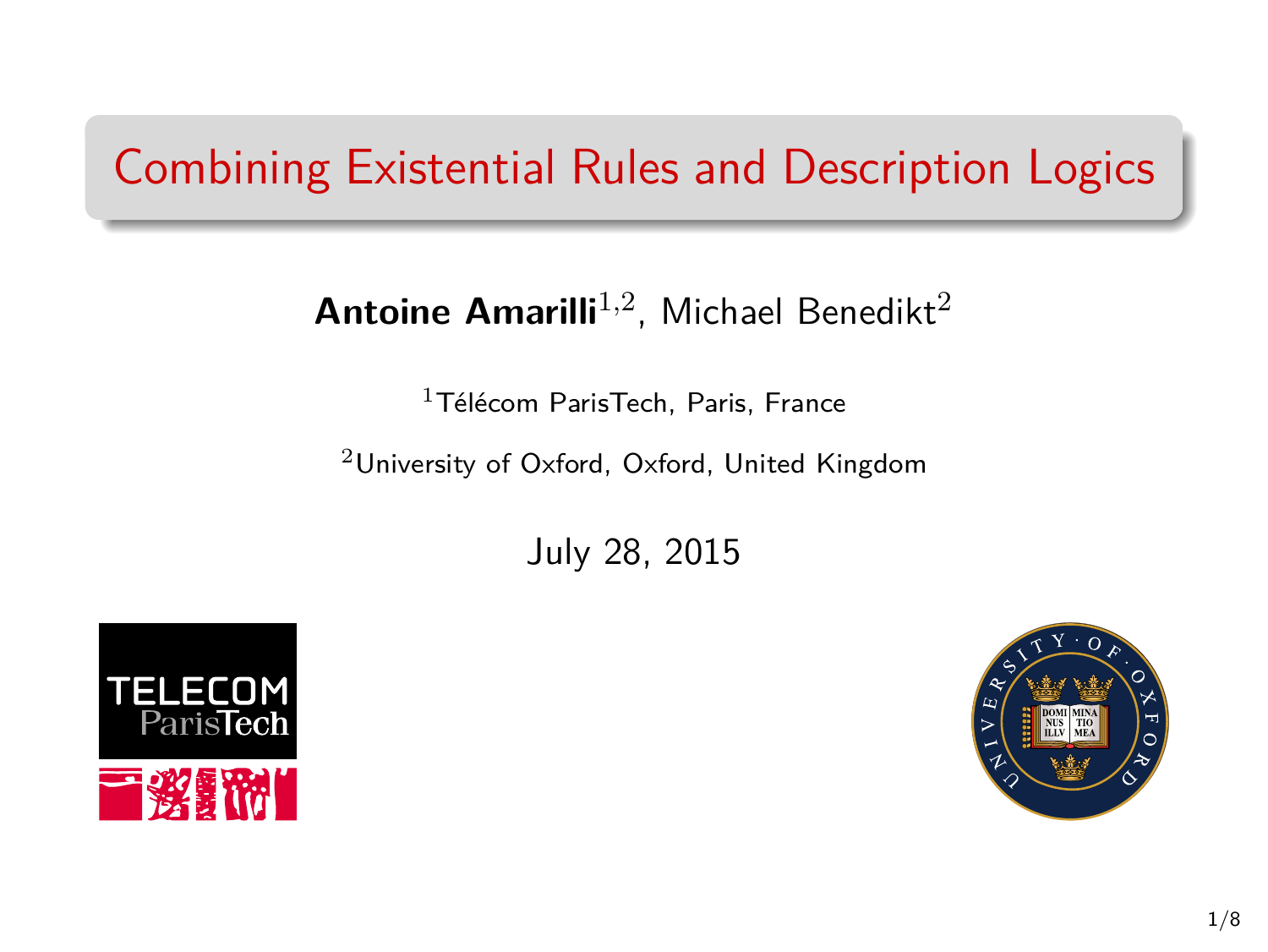# Combining Existential Rules and Description Logics

### **Antoine Amarilli**<sup>1,2</sup>, Michael Benedikt<sup>2</sup>

<sup>1</sup>Télécom ParisTech, Paris, France

<sup>2</sup>University of Oxford, Oxford, United Kingdom

July 28, 2015



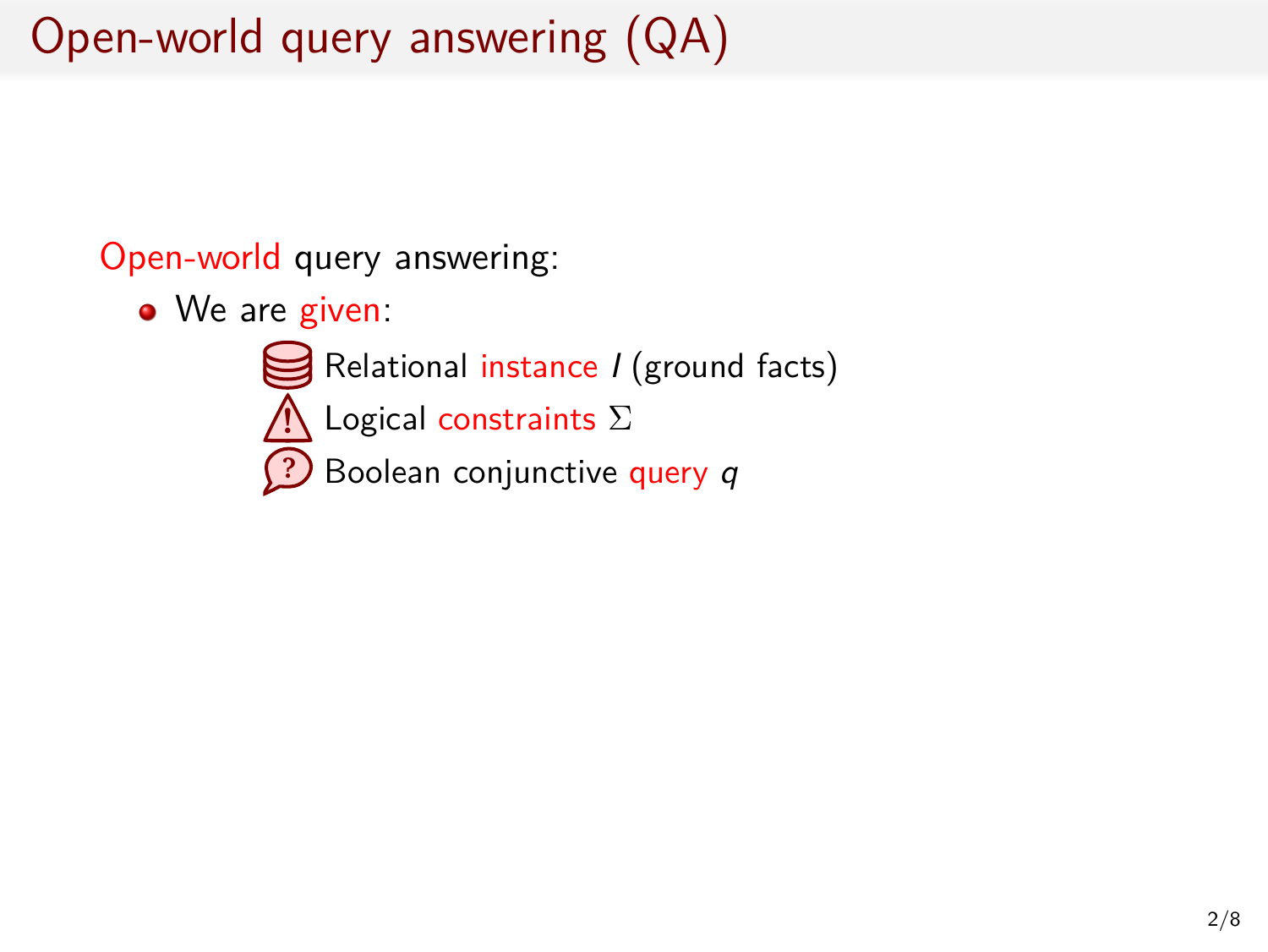# Open-world query answering (QA)

Open-world query answering:

- We are given:
	- Relational instance *I* (ground facts)
	- **!** Logical constraints Σ
	- **?** Boolean conjunctive query *q*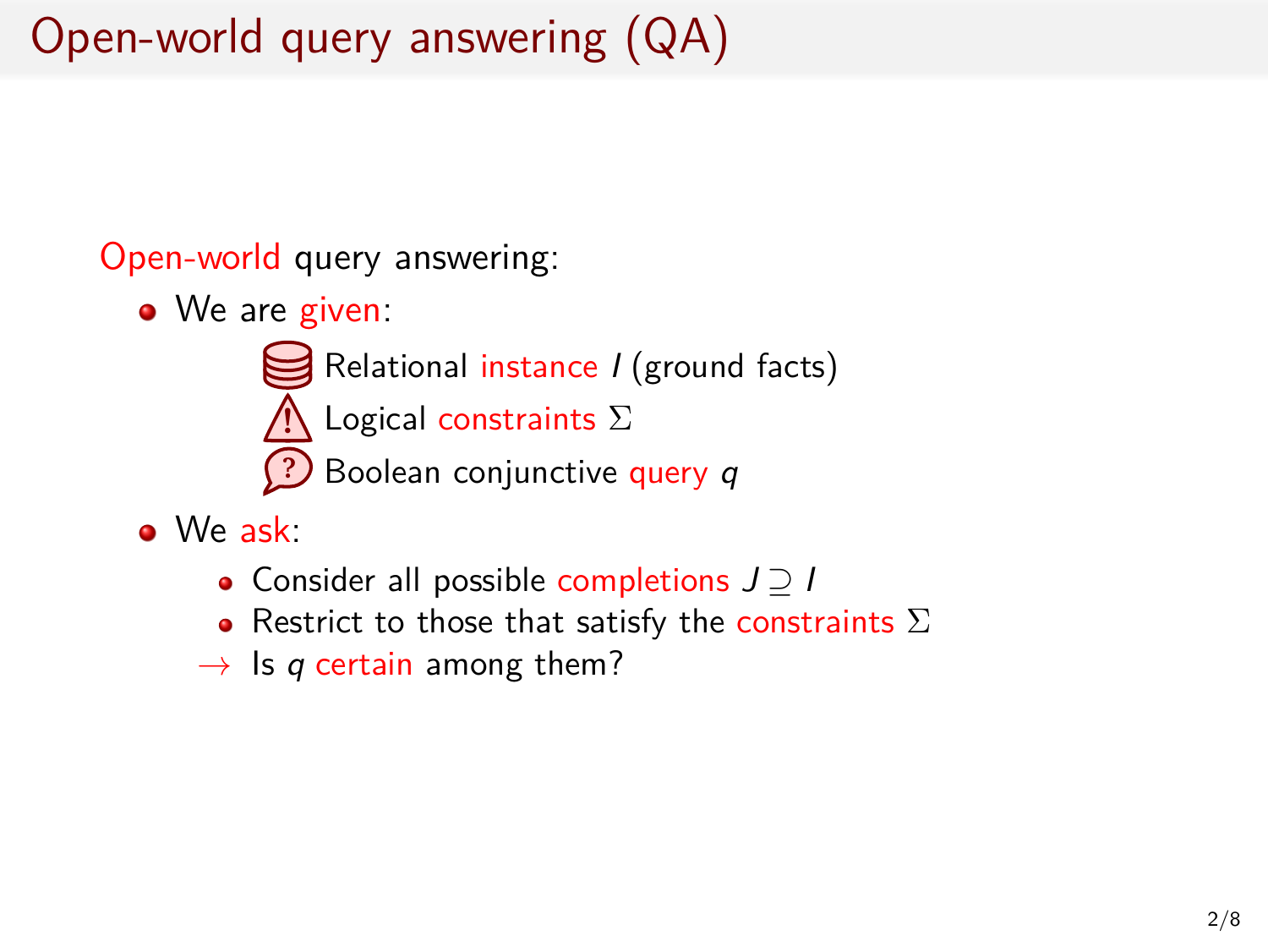# Open-world query answering (QA)

Open-world query answering:

- We are given:
	- Relational instance *I* (ground facts)
	- **!** Logical constraints Σ
	- **?** Boolean conjunctive query *q*
- We ask:
	- Consider all possible completions *J ⊇ I*
	- Restrict to those that satisfy the constraints  $\Sigma$
	- *→* Is *q* certain among them?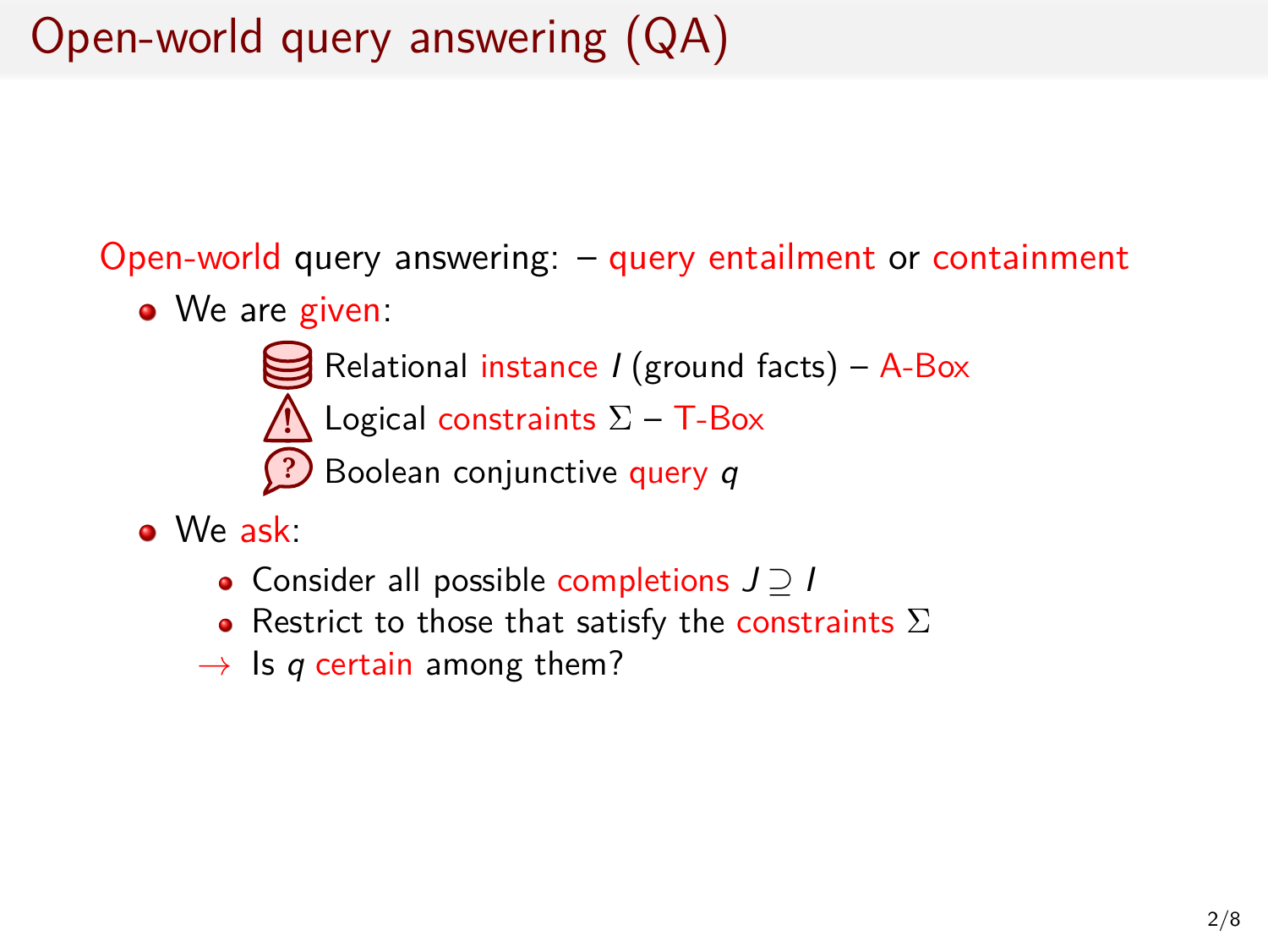# Open-world query answering (QA)

Open-world query answering: – query entailment or containment

- We are given:
	- Relational instance *I* (ground facts) A-Box
	- **!** Logical constraints  $\Sigma$  – T-Box
	- **?** Boolean conjunctive query *q*
- We ask:
	- Consider all possible completions *J ⊇ I*
	- $\bullet$  Restrict to those that satisfy the constraints  $\Sigma$
	- *→* Is *q* certain among them?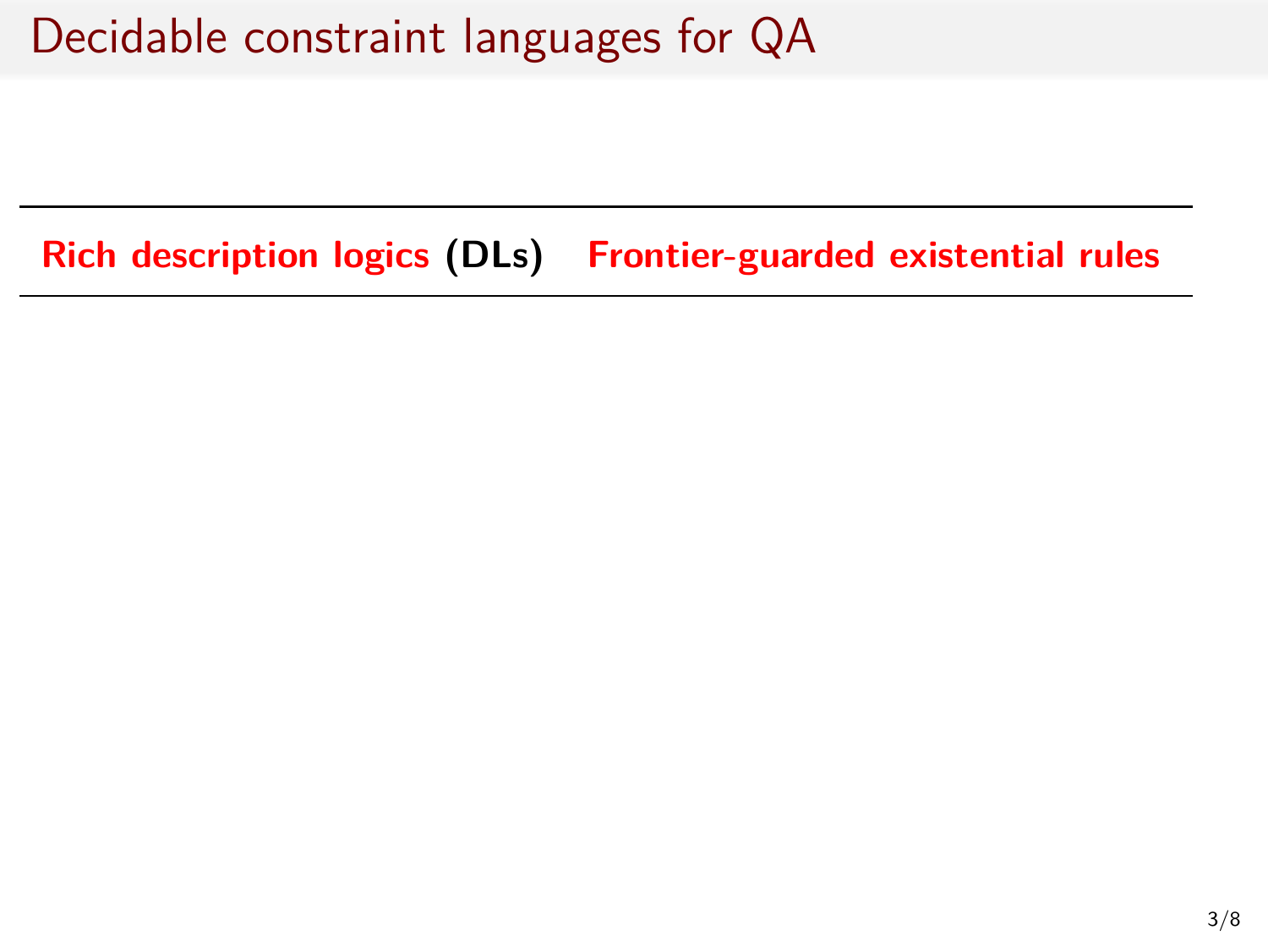**Rich description logics (DLs) Frontier-guarded existential rules**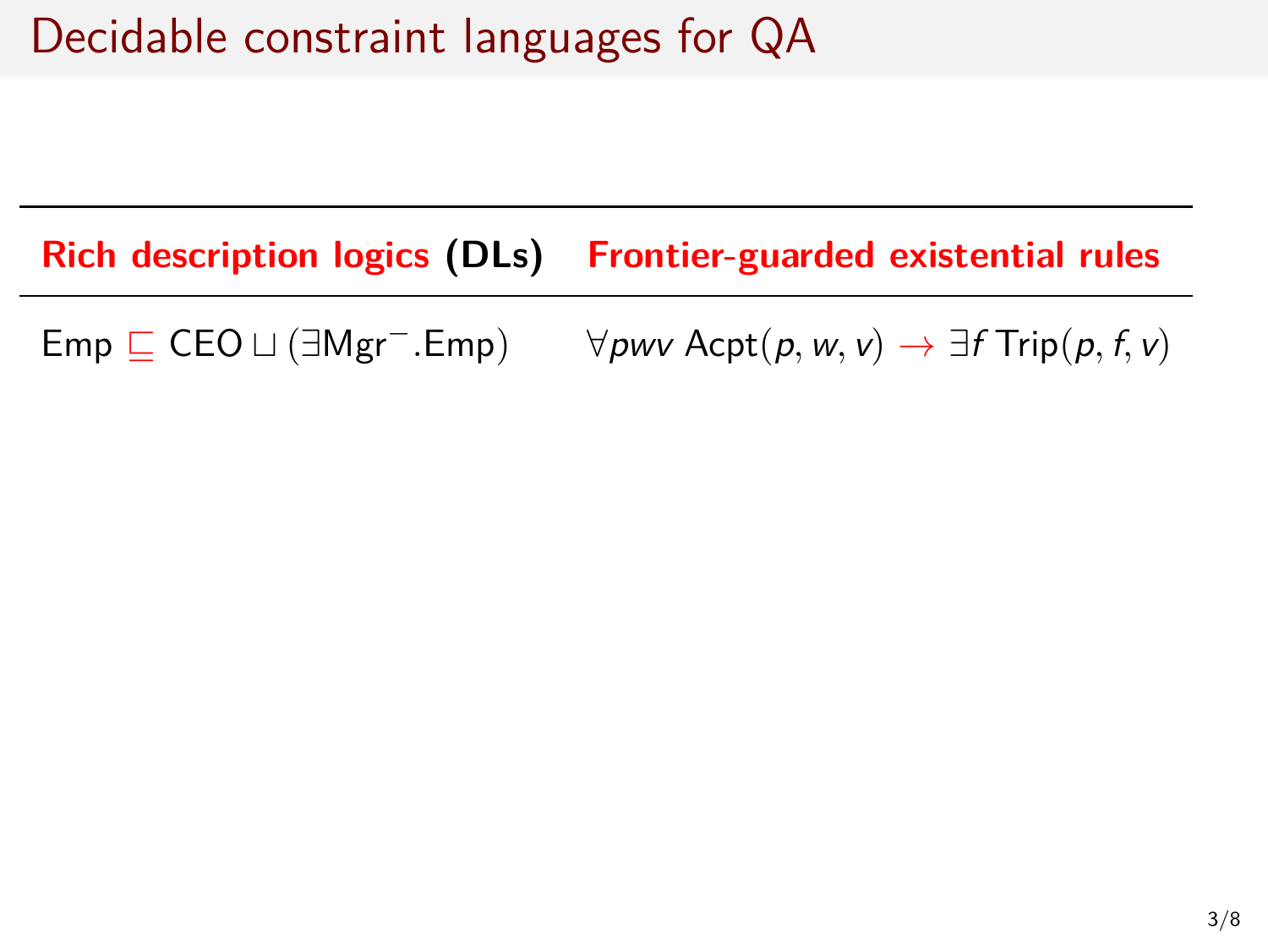**Rich description logics (DLs) Frontier-guarded existential rules**

Emp *⊑* CEO *⊔* (*∃*Mgr*−.*Emp) *∀pwv* Acpt(*p,w, v*) *→ ∃f* Trip(*p, f, v*)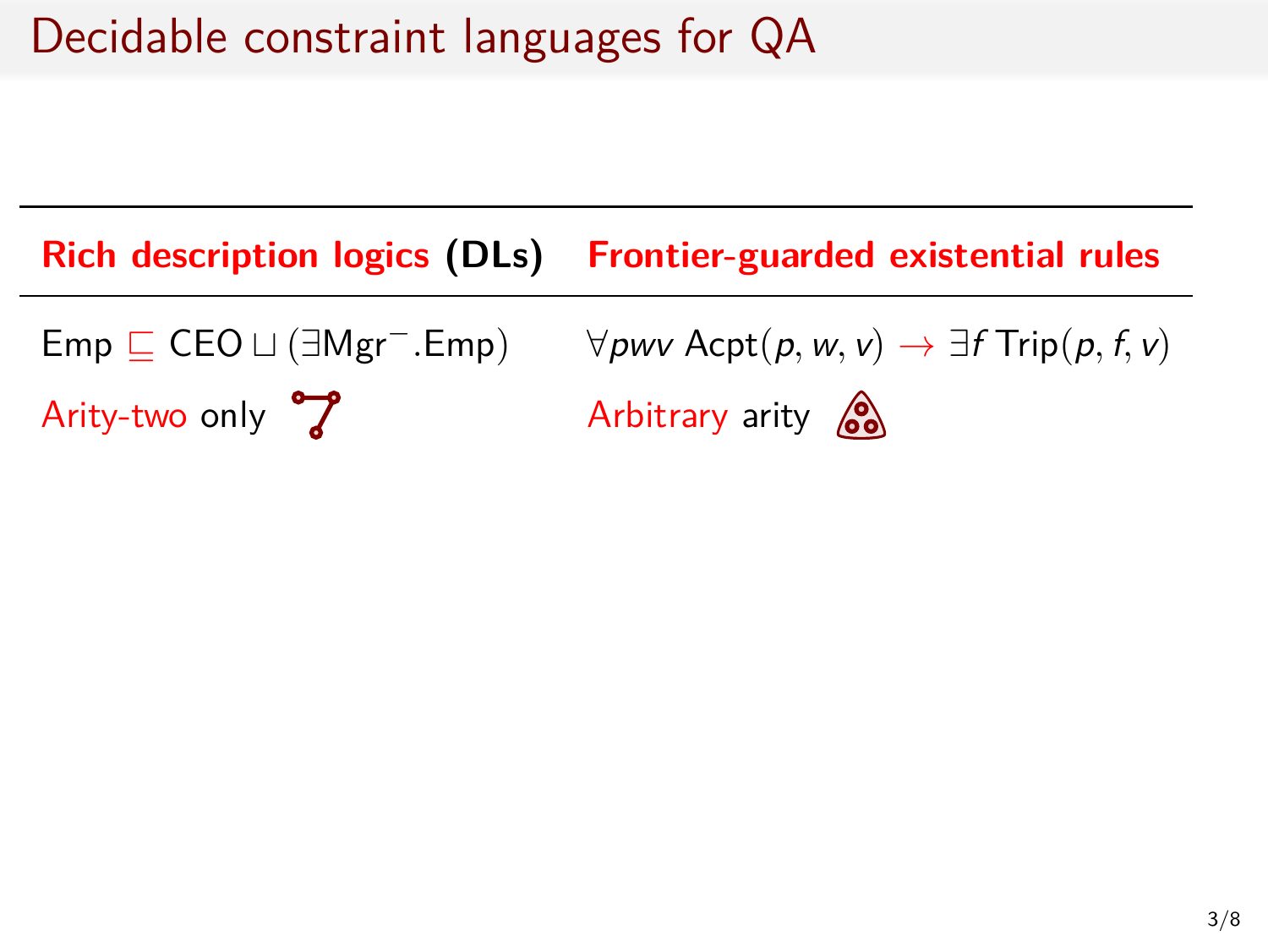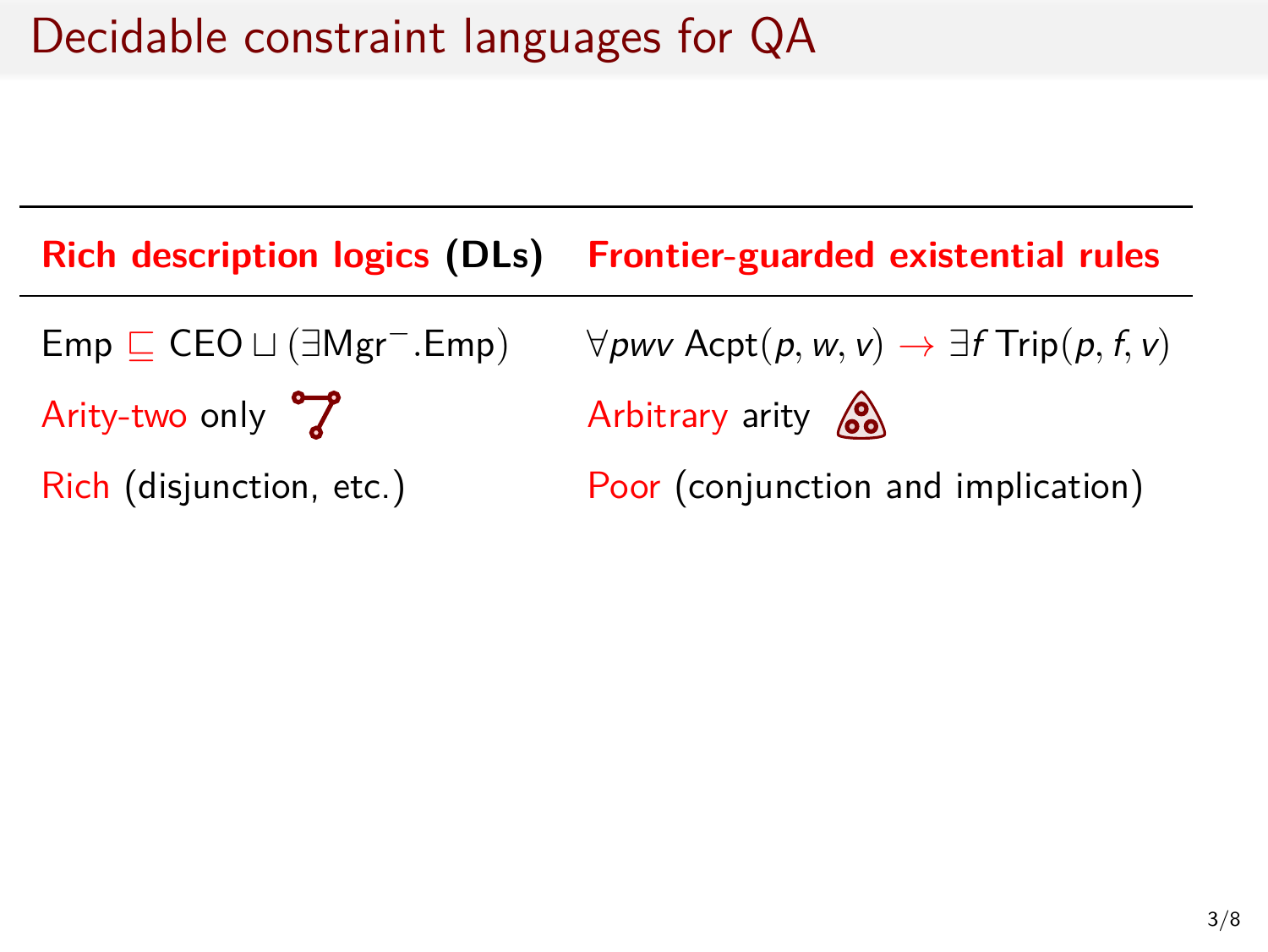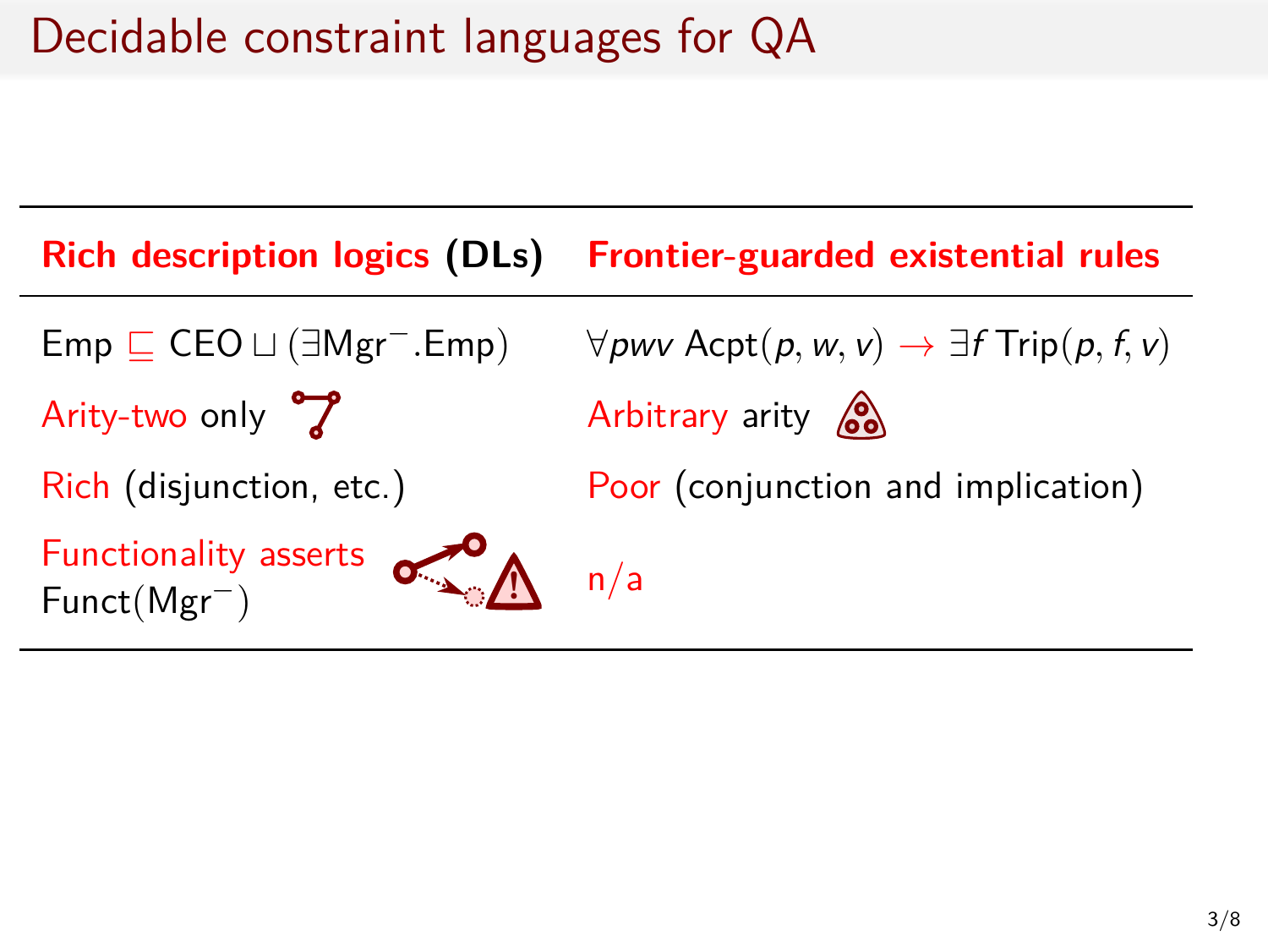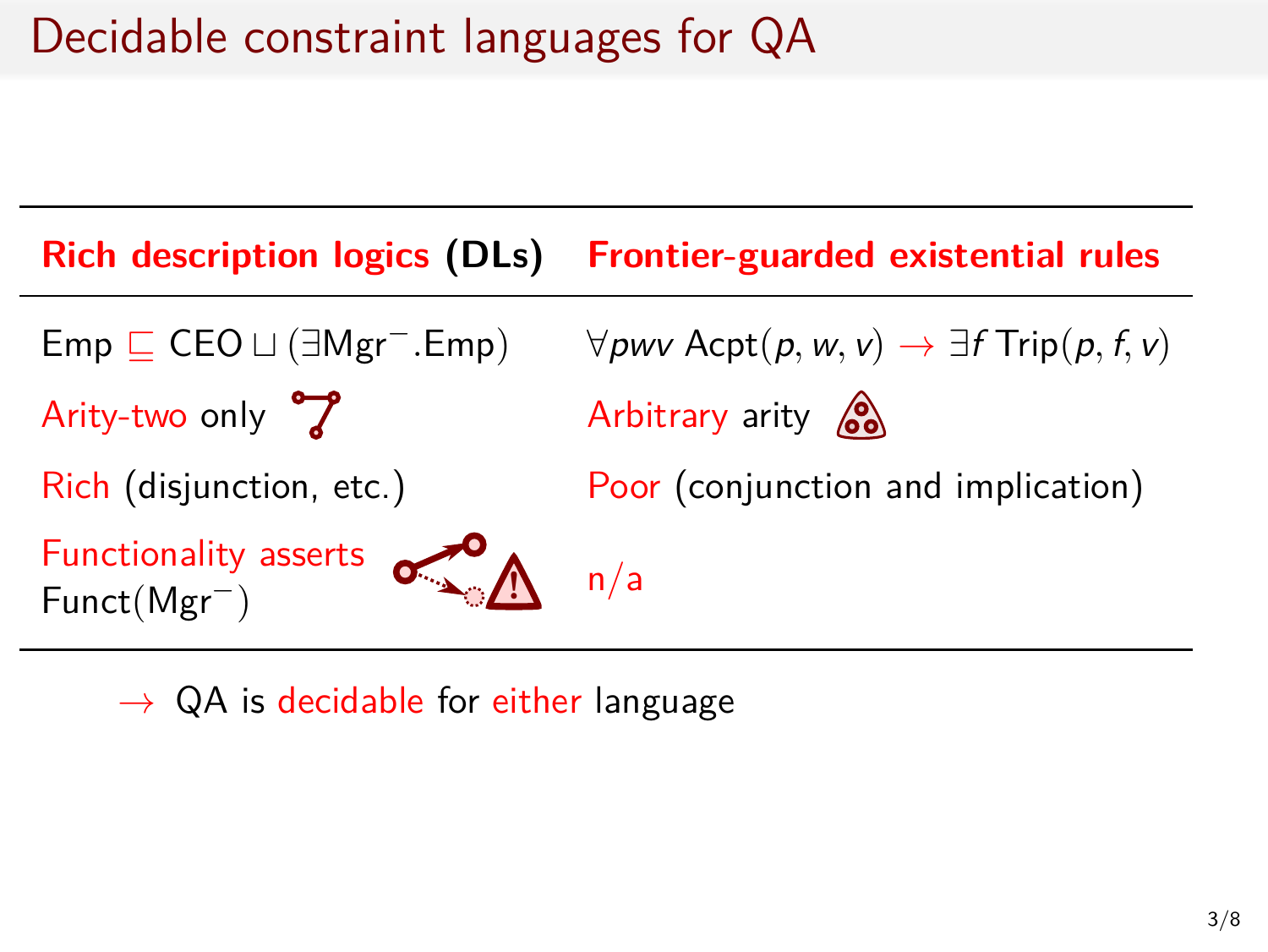

*→* QA is decidable for either language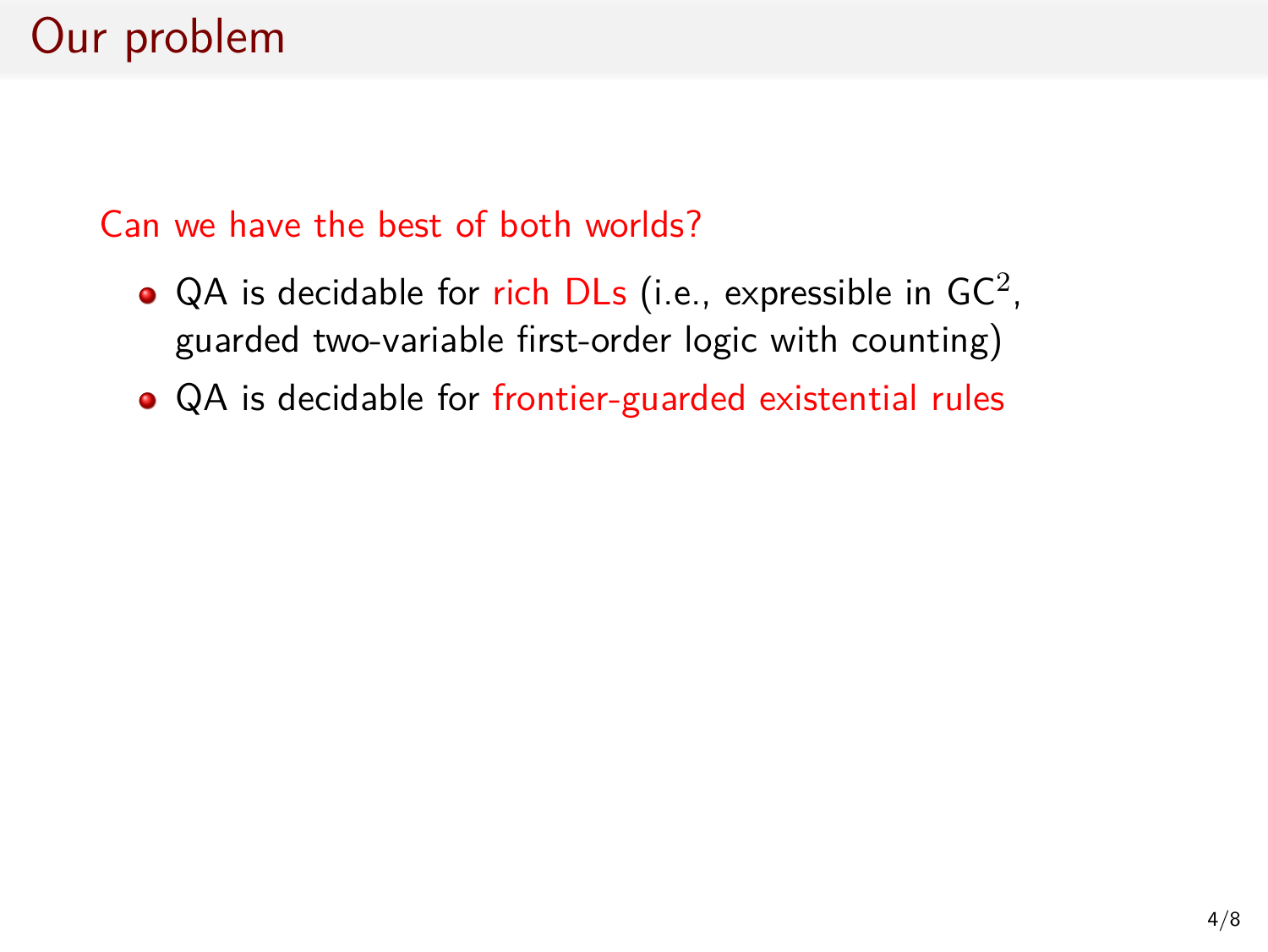### Can we have the best of both worlds?

- QA is decidable for rich DLs (i.e., expressible in GC<sup>2</sup>, guarded two-variable first-order logic with counting)
- QA is decidable for frontier-guarded existential rules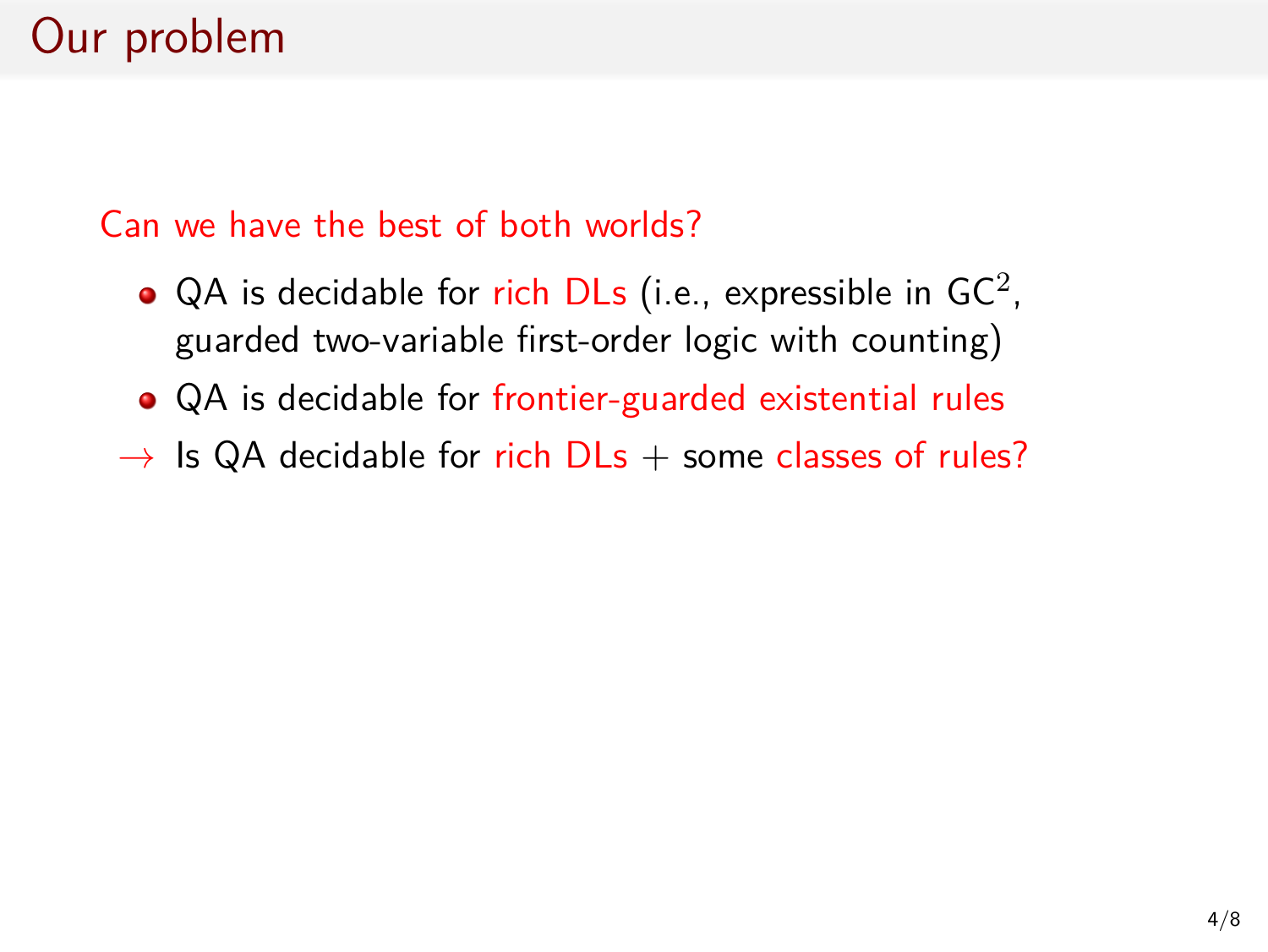### Can we have the best of both worlds?

- QA is decidable for rich DLs (i.e., expressible in GC<sup>2</sup>, guarded two-variable first-order logic with counting)
- QA is decidable for frontier-guarded existential rules
- $\rightarrow$  Is QA decidable for rich DLs + some classes of rules?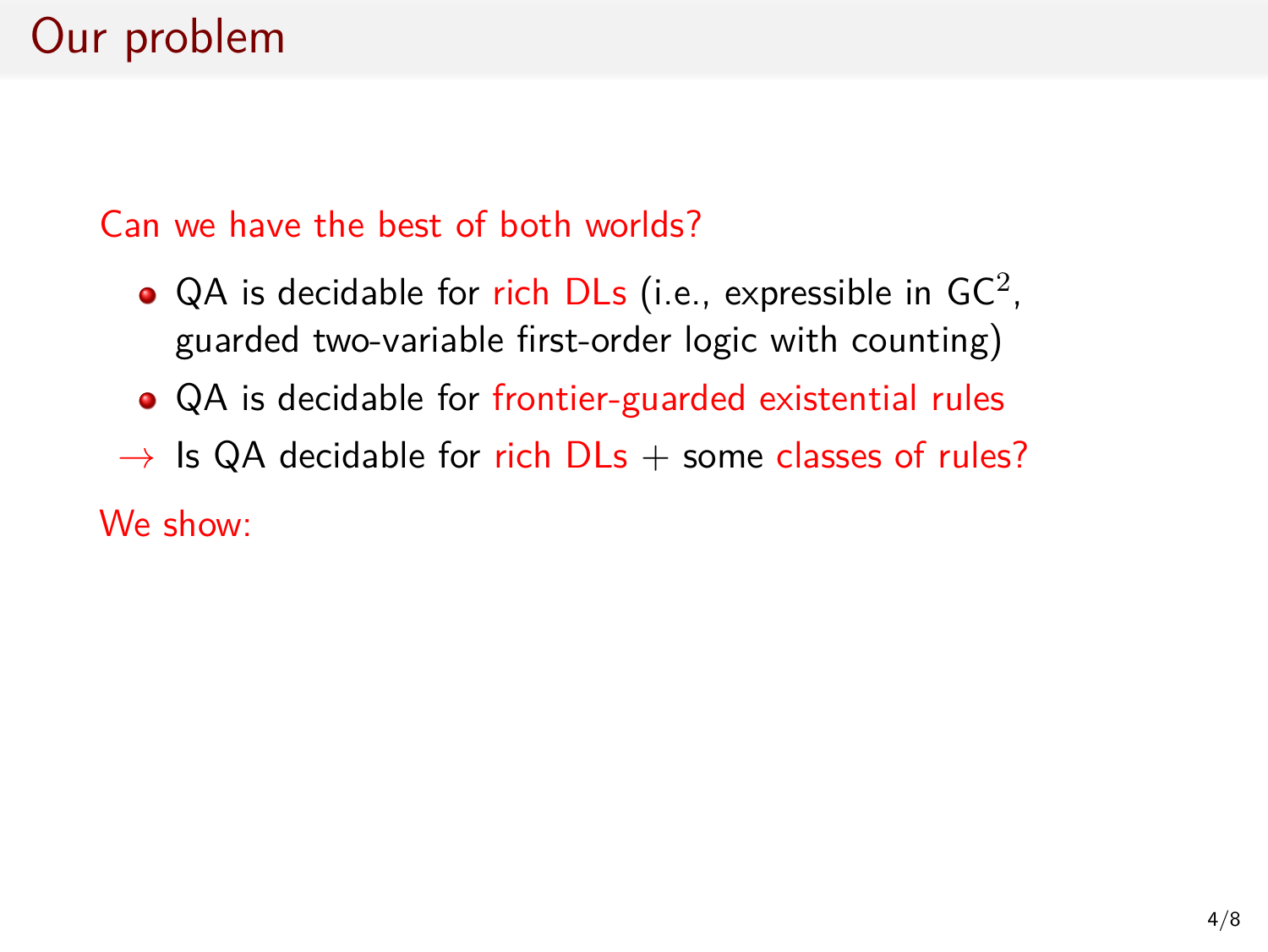### Can we have the best of both worlds?

- QA is decidable for rich DLs (i.e., expressible in GC<sup>2</sup>, guarded two-variable first-order logic with counting)
- QA is decidable for frontier-guarded existential rules
- $\rightarrow$  Is QA decidable for rich DLs + some classes of rules?

We show: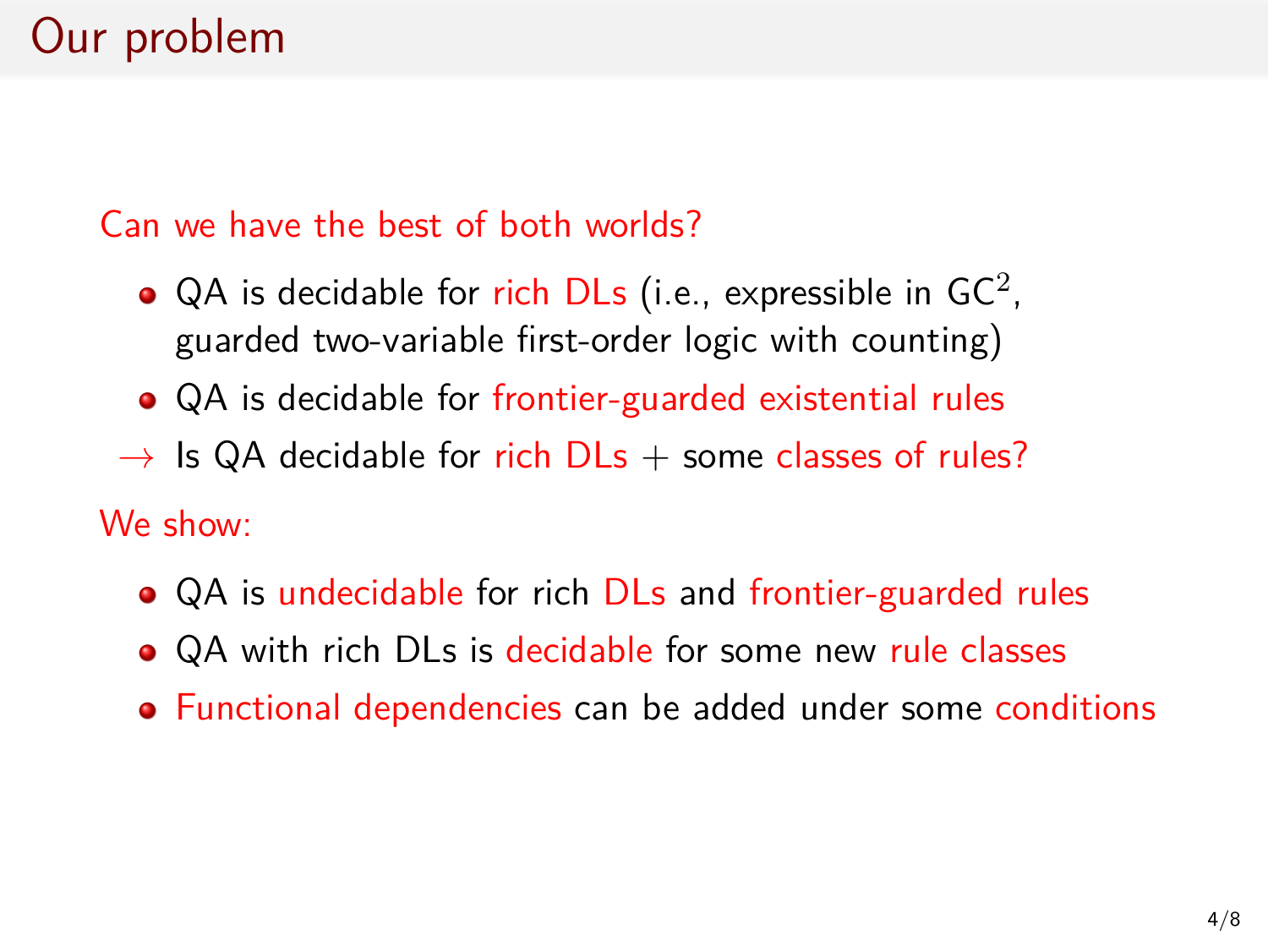### Can we have the best of both worlds?

- QA is decidable for rich DLs (i.e., expressible in GC<sup>2</sup>, guarded two-variable first-order logic with counting)
- QA is decidable for frontier-guarded existential rules
- $\rightarrow$  Is QA decidable for rich DLs  $+$  some classes of rules?

We show:

- QA is undecidable for rich DLs and frontier-guarded rules
- QA with rich DLs is decidable for some new rule classes
- Functional dependencies can be added under some conditions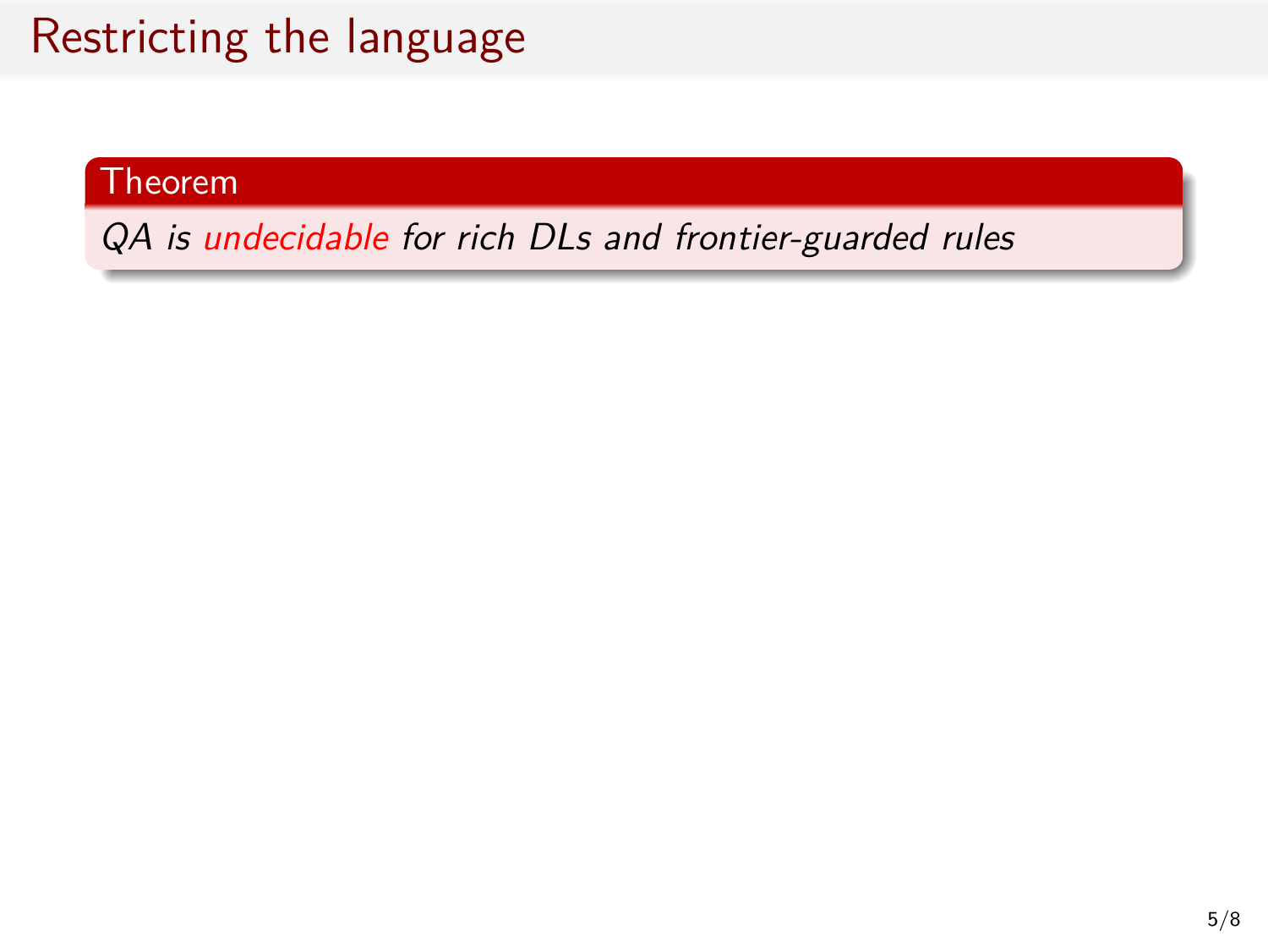#### Theorem

*QA is undecidable for rich DLs and frontier-guarded rules*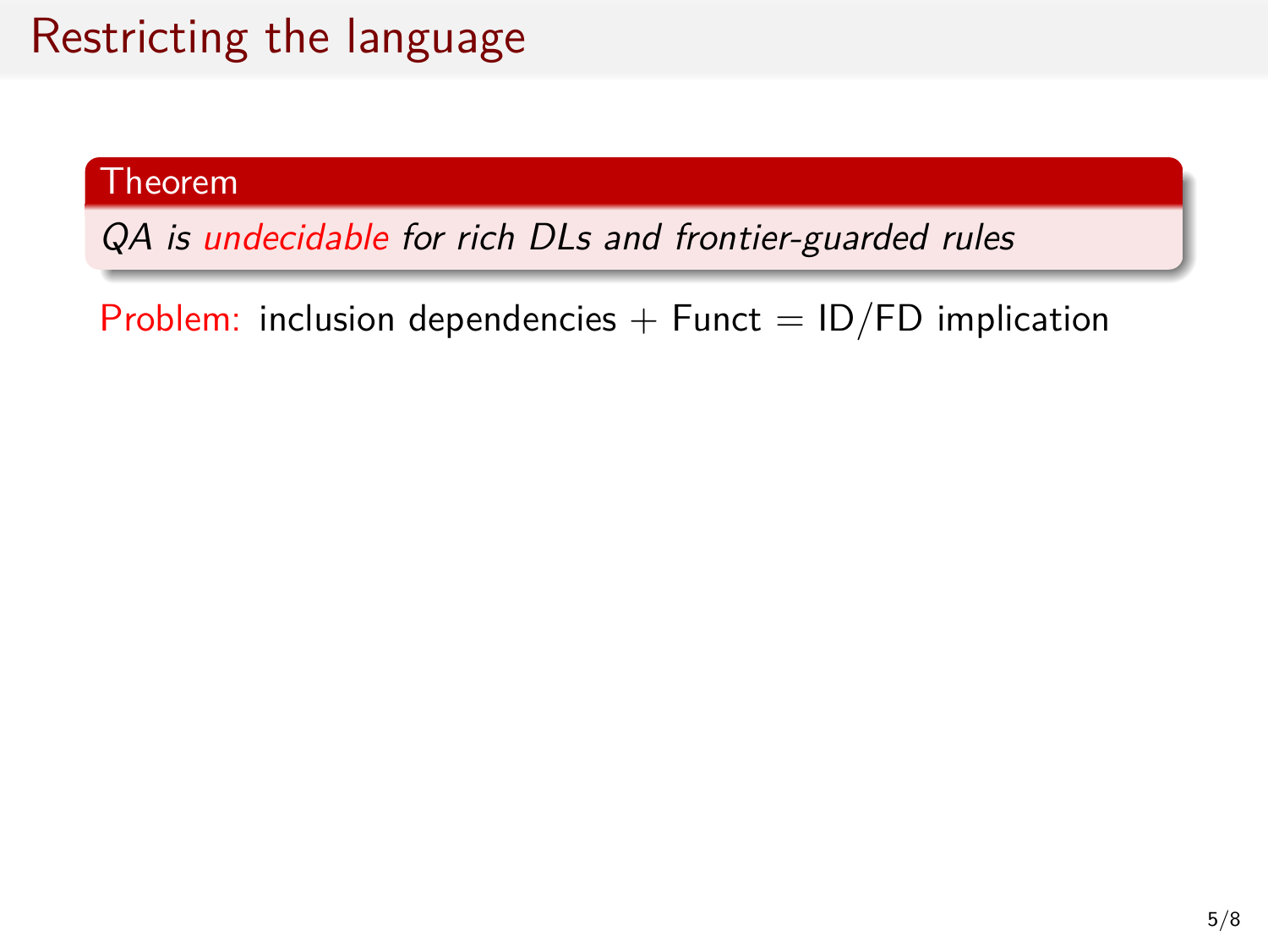#### Theorem

*QA is undecidable for rich DLs and frontier-guarded rules*

Problem: inclusion dependencies  $+$  Funct = ID/FD implication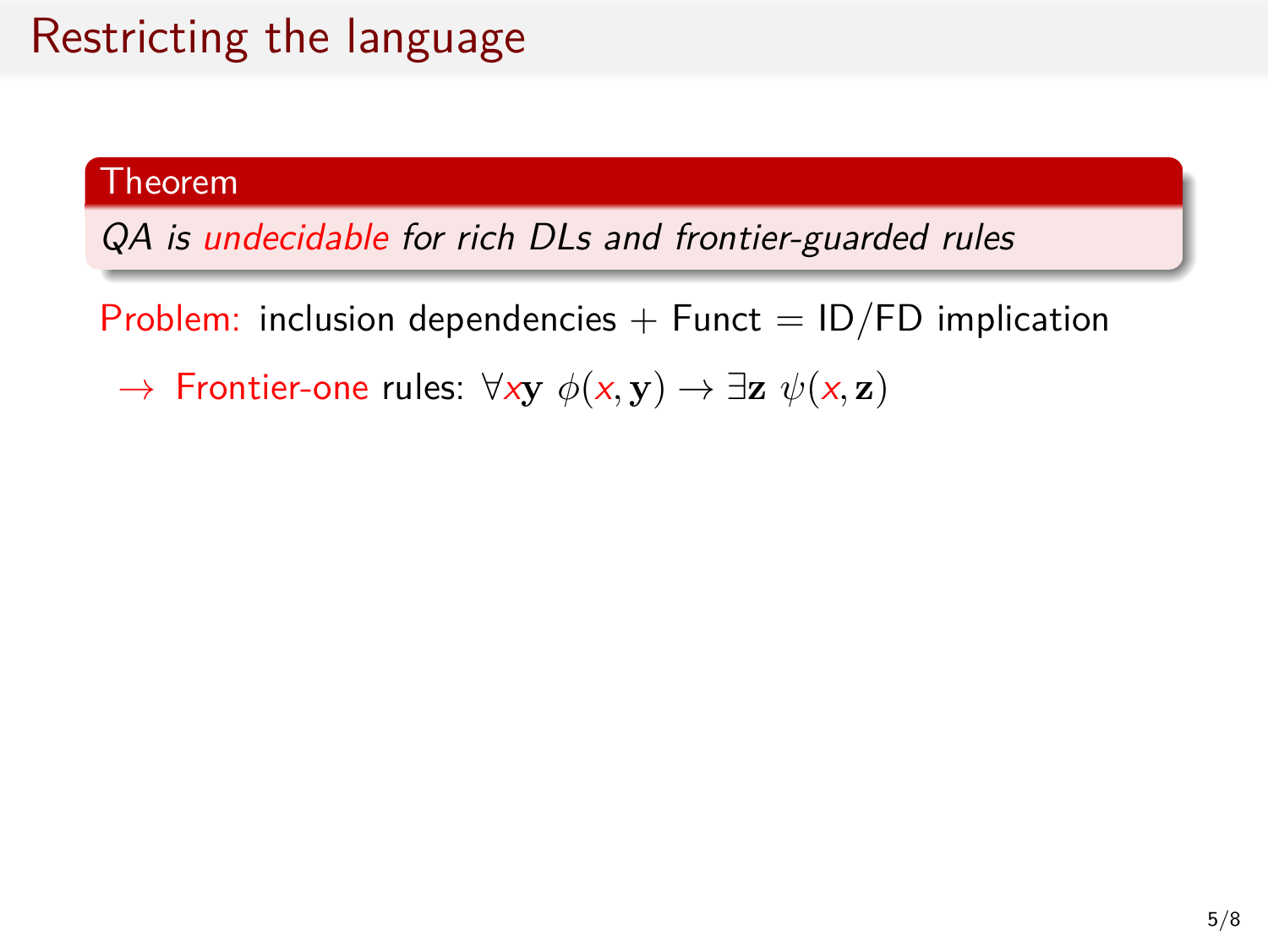#### Theorem

*QA is undecidable for rich DLs and frontier-guarded rules*

Problem: inclusion dependencies  $+$  Funct  $=$  ID/FD implication

*→* Frontier-one rules: *∀x***y** *ϕ*(*x,* **y**) *→ ∃***z** *ψ*(*x,* **z**)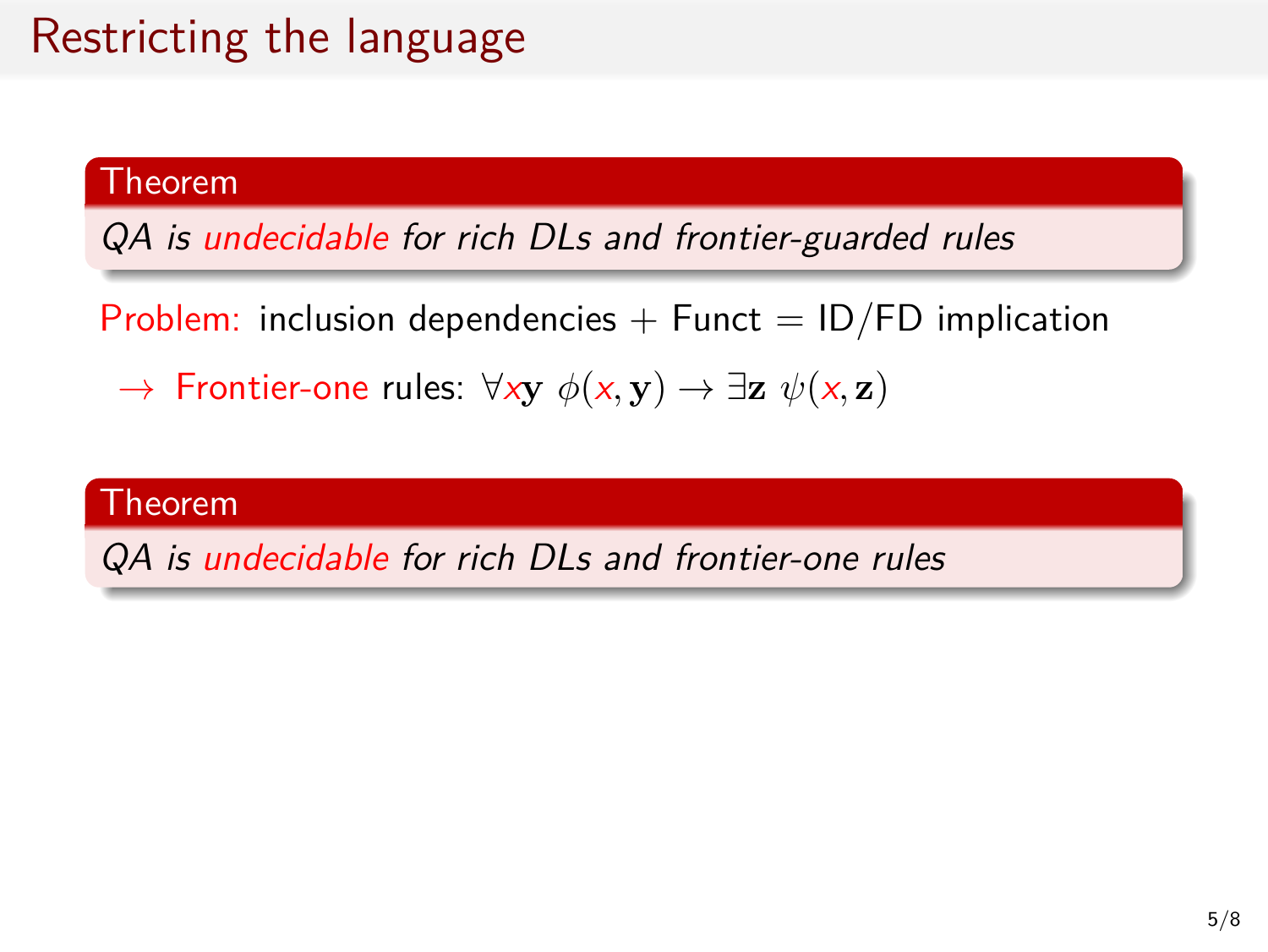#### Theorem

*QA is undecidable for rich DLs and frontier-guarded rules*

Problem: inclusion dependencies  $+$  Funct  $=$  ID/FD implication

*→* Frontier-one rules: *∀x***y** *ϕ*(*x,* **y**) *→ ∃***z** *ψ*(*x,* **z**)

#### Theorem

*QA is undecidable for rich DLs and frontier-one rules*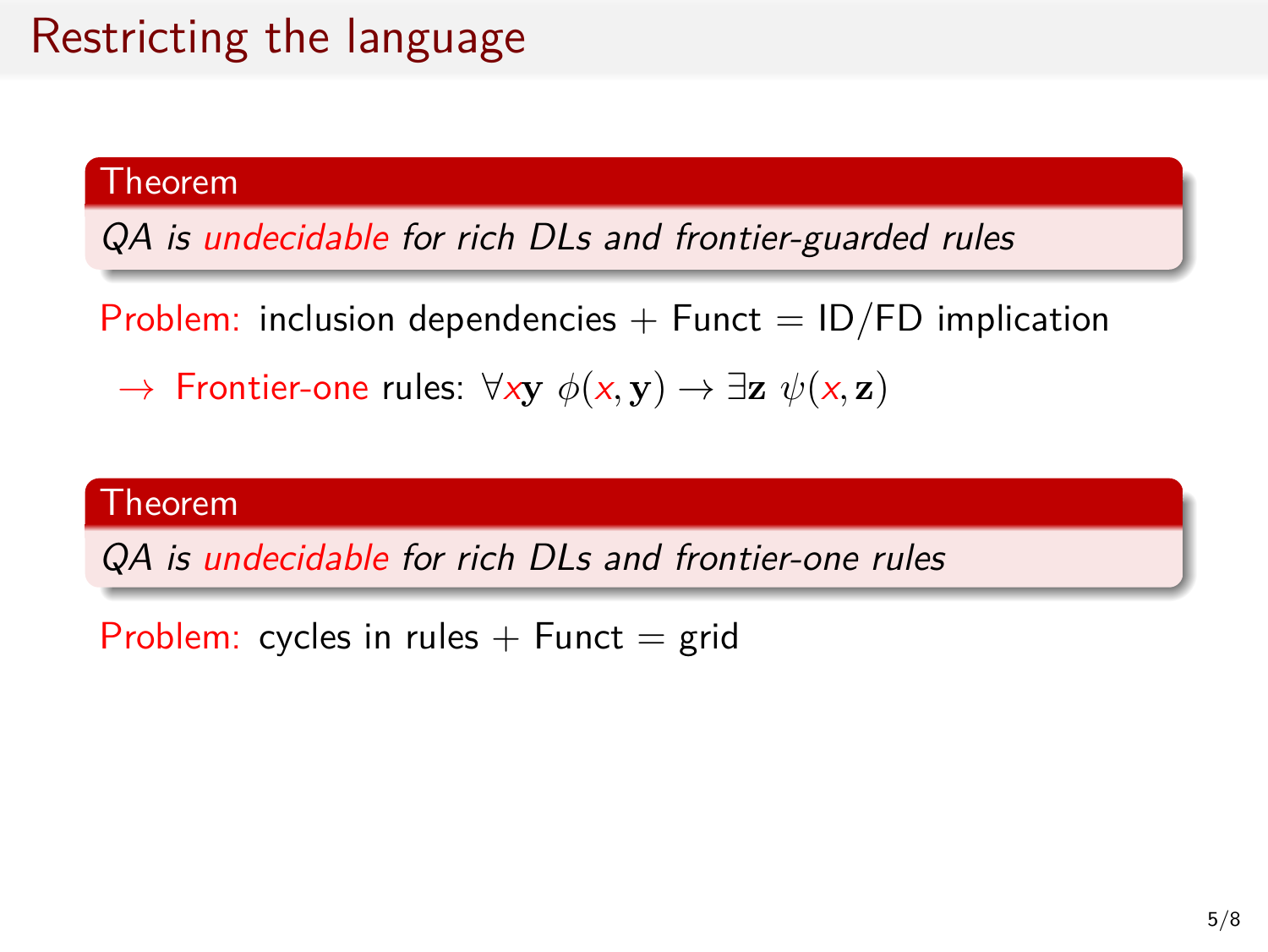#### Theorem

*QA is undecidable for rich DLs and frontier-guarded rules*

Problem: inclusion dependencies  $+$  Funct = ID/FD implication

*→* Frontier-one rules: *∀x***y** *ϕ*(*x,* **y**) *→ ∃***z** *ψ*(*x,* **z**)

#### Theorem

*QA is undecidable for rich DLs and frontier-one rules*

Problem: cycles in rules  $+$  Funct  $=$  grid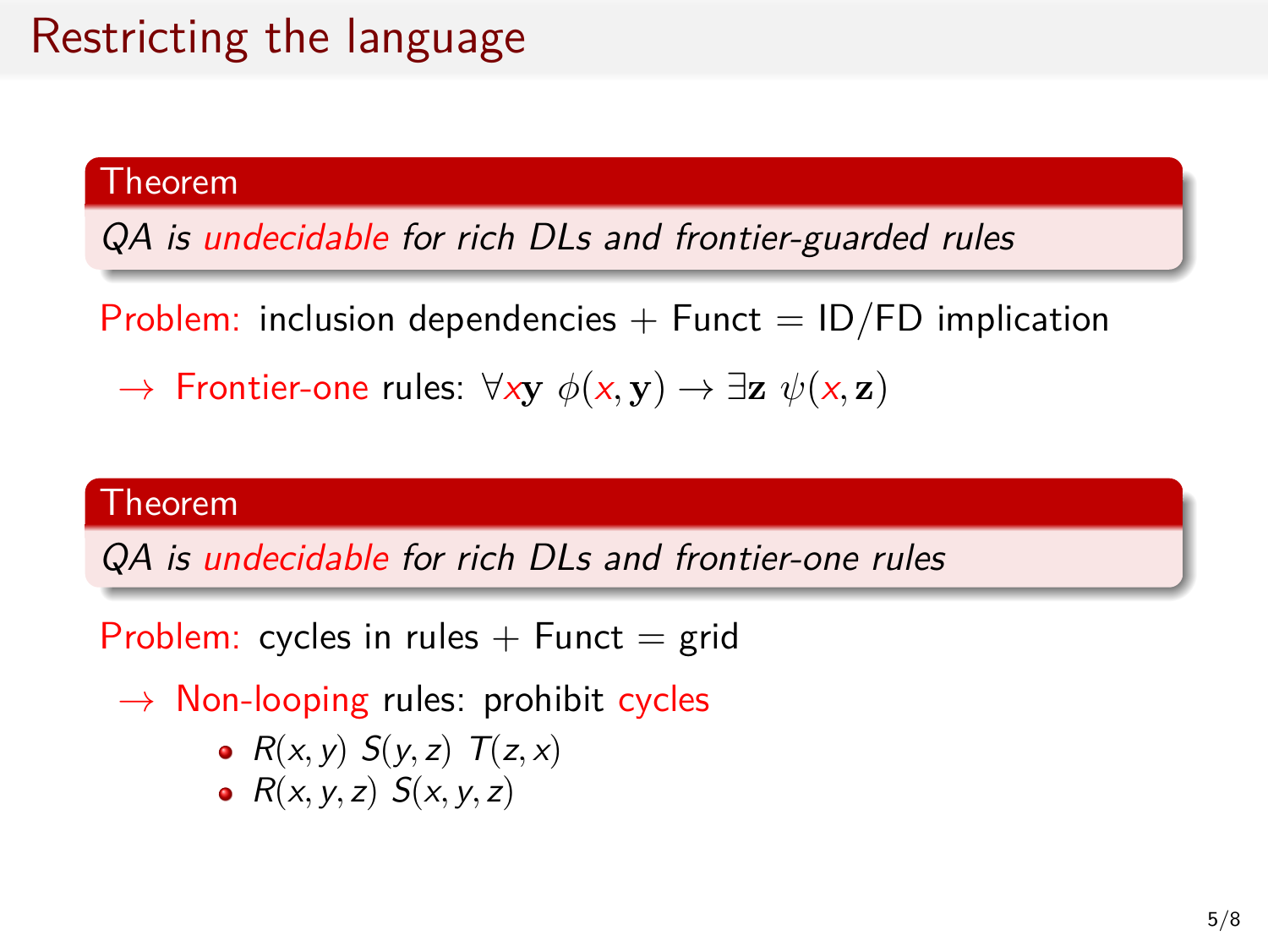#### Theorem

*QA is undecidable for rich DLs and frontier-guarded rules*

Problem: inclusion dependencies  $+$  Funct  $=$  ID/FD implication

*→* Frontier-one rules: *∀x***y** *ϕ*(*x,* **y**) *→ ∃***z** *ψ*(*x,* **z**)

#### Theorem

*QA is undecidable for rich DLs and frontier-one rules*

Problem: cycles in rules  $+$  Funct  $=$  grid

- *→* Non-looping rules: prohibit cycles
	- $R(x, y) S(y, z) T(z, x)$
	- $R(x, y, z) S(x, y, z)$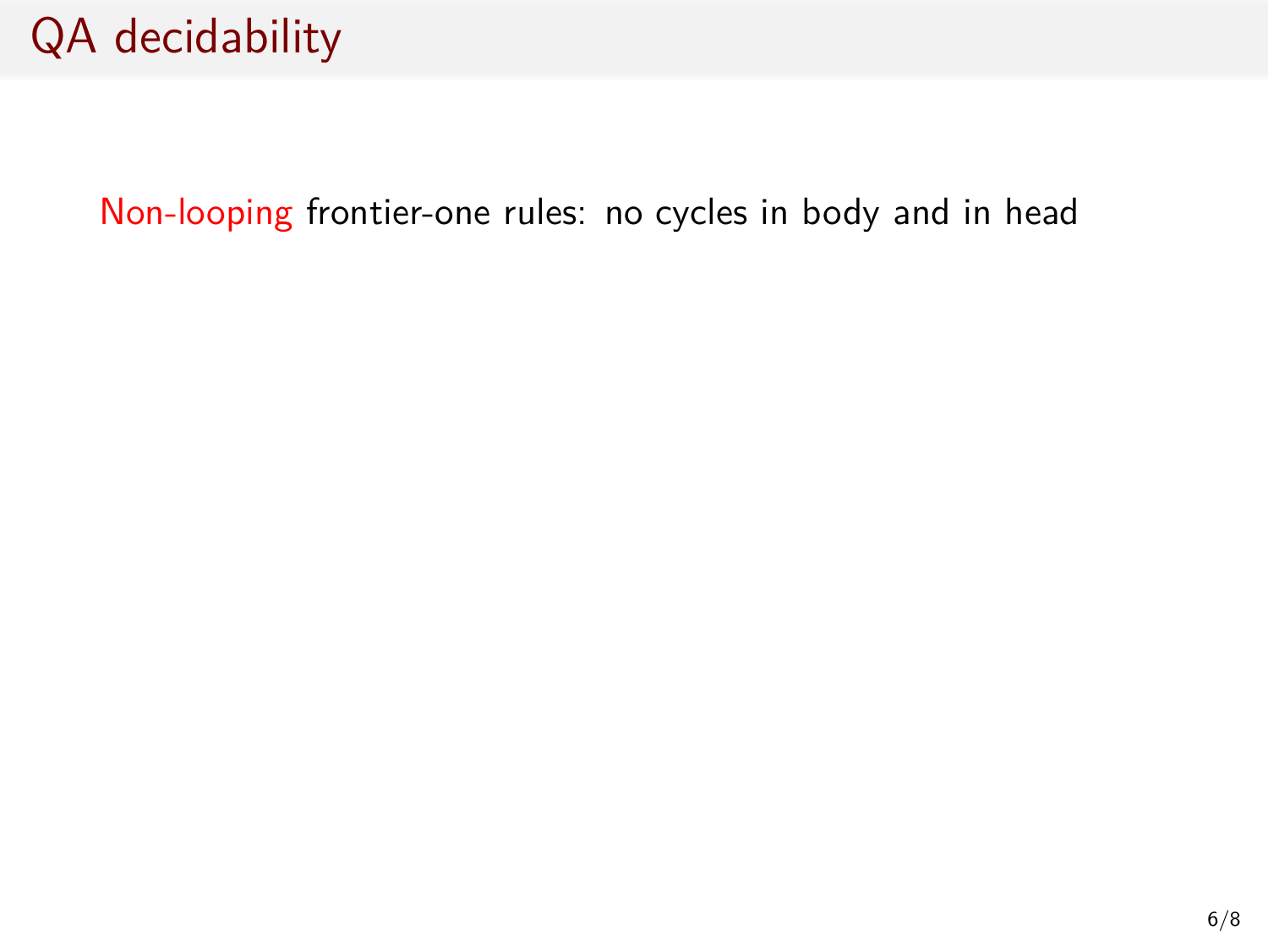Non-looping frontier-one rules: no cycles in body and in head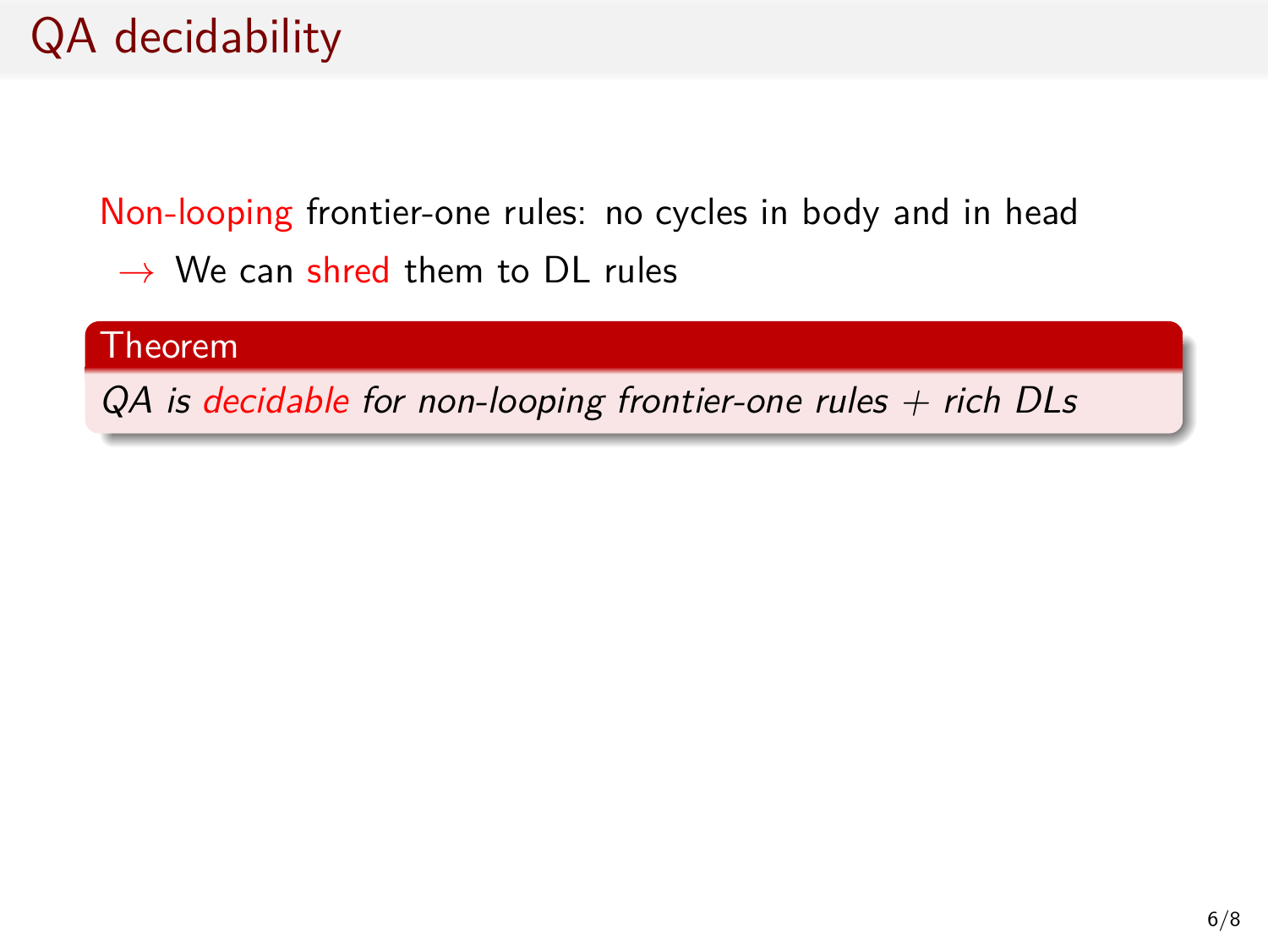Non-looping frontier-one rules: no cycles in body and in head

*→* We can shred them to DL rules

#### Theorem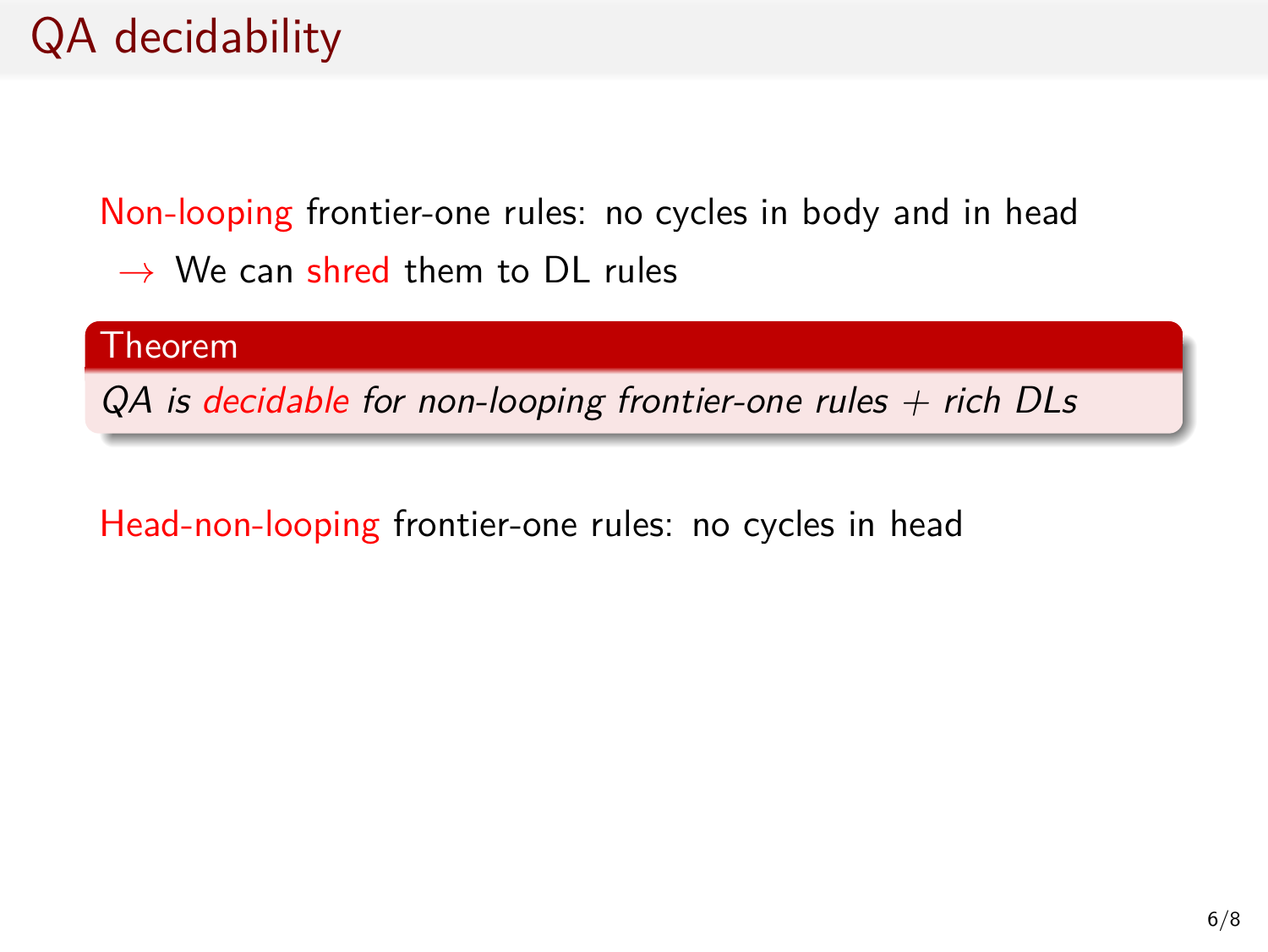Non-looping frontier-one rules: no cycles in body and in head

*→* We can shred them to DL rules

Theorem

*QA is decidable for non-looping frontier-one rules + rich DLs*

Head-non-looping frontier-one rules: no cycles in head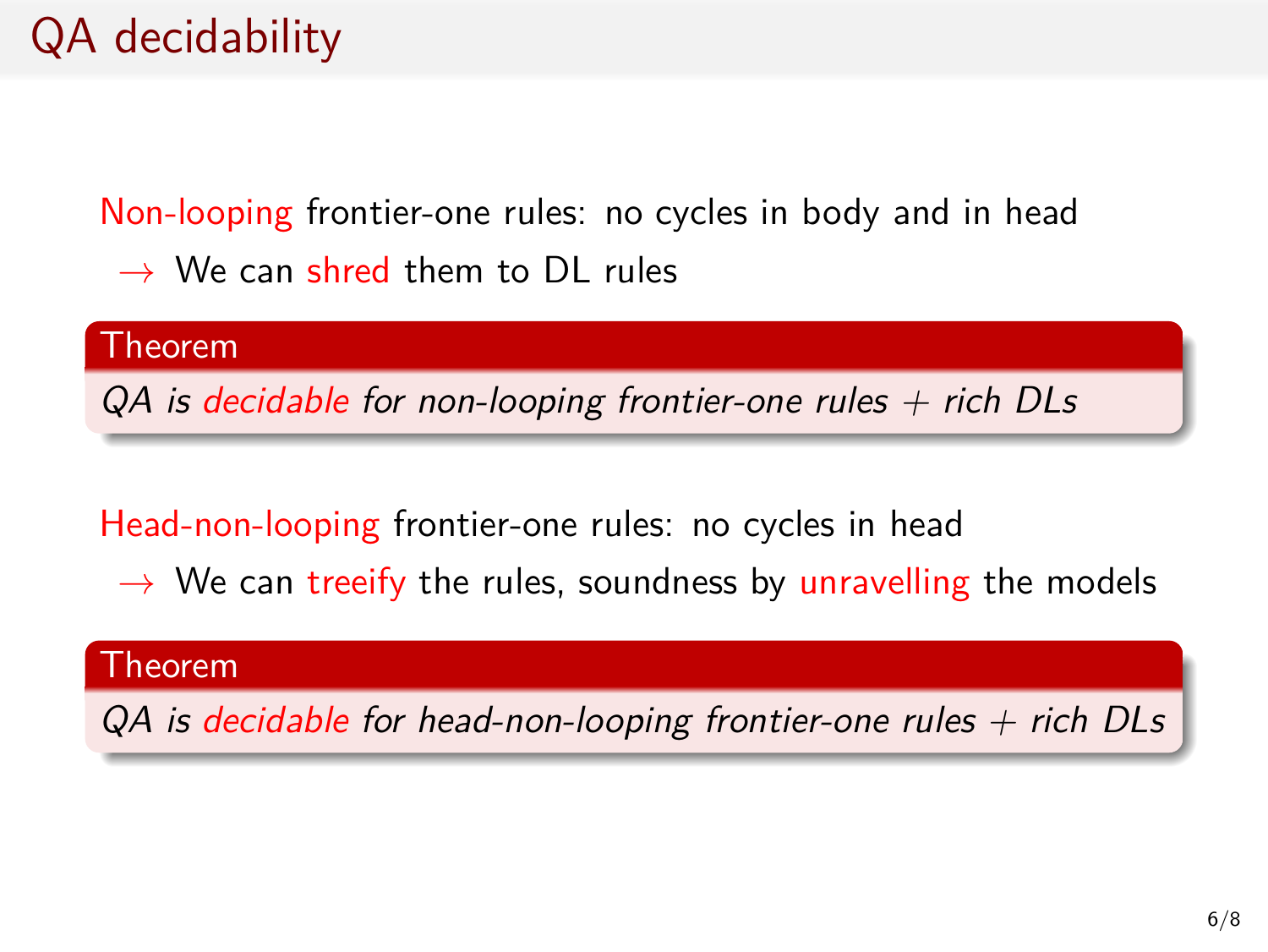Non-looping frontier-one rules: no cycles in body and in head

*→* We can shred them to DL rules

Theorem

*QA is decidable for non-looping frontier-one rules + rich DLs*

Head-non-looping frontier-one rules: no cycles in head

*→* We can treeify the rules, soundness by unravelling the models

#### Theorem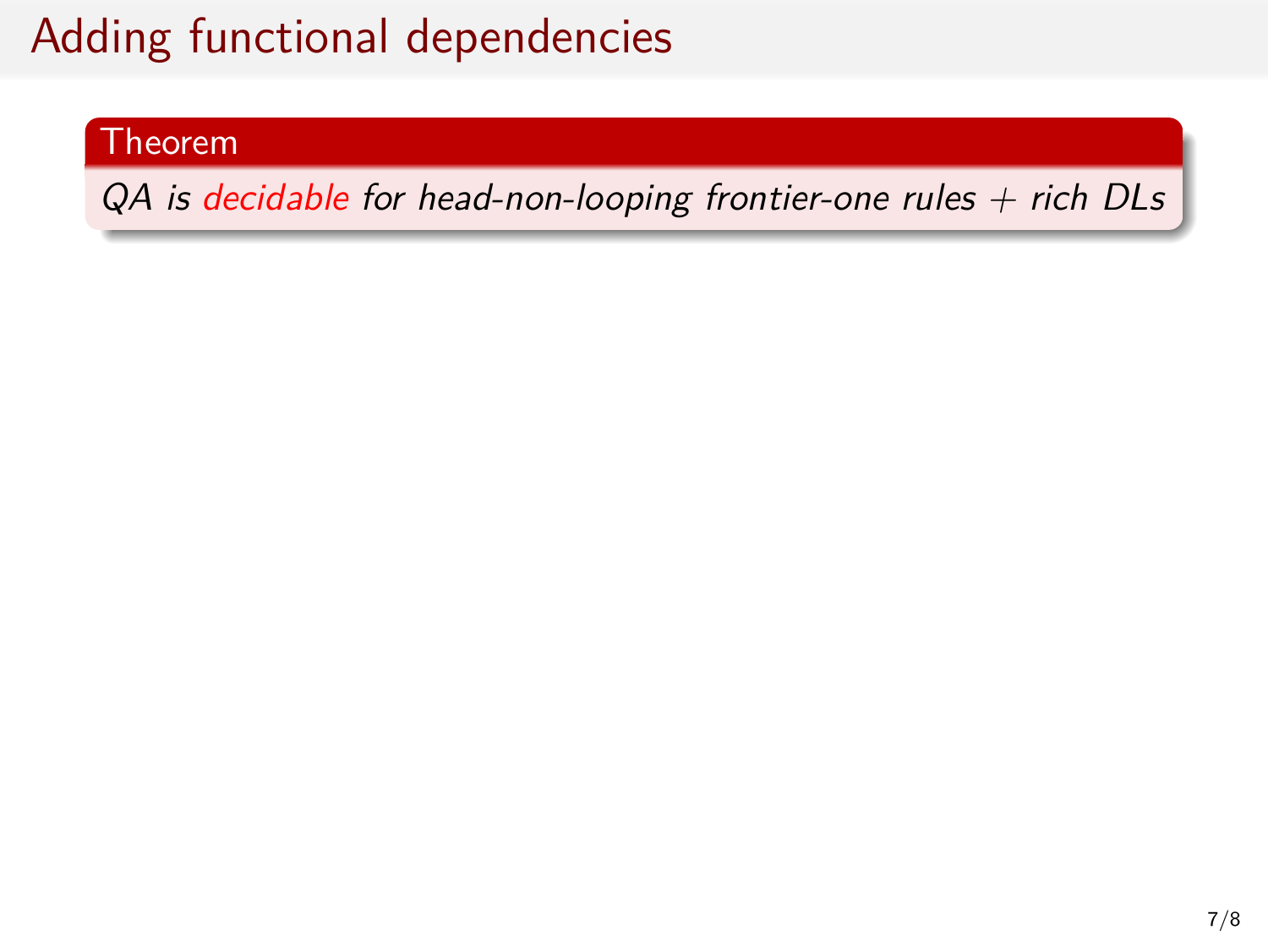#### Theorem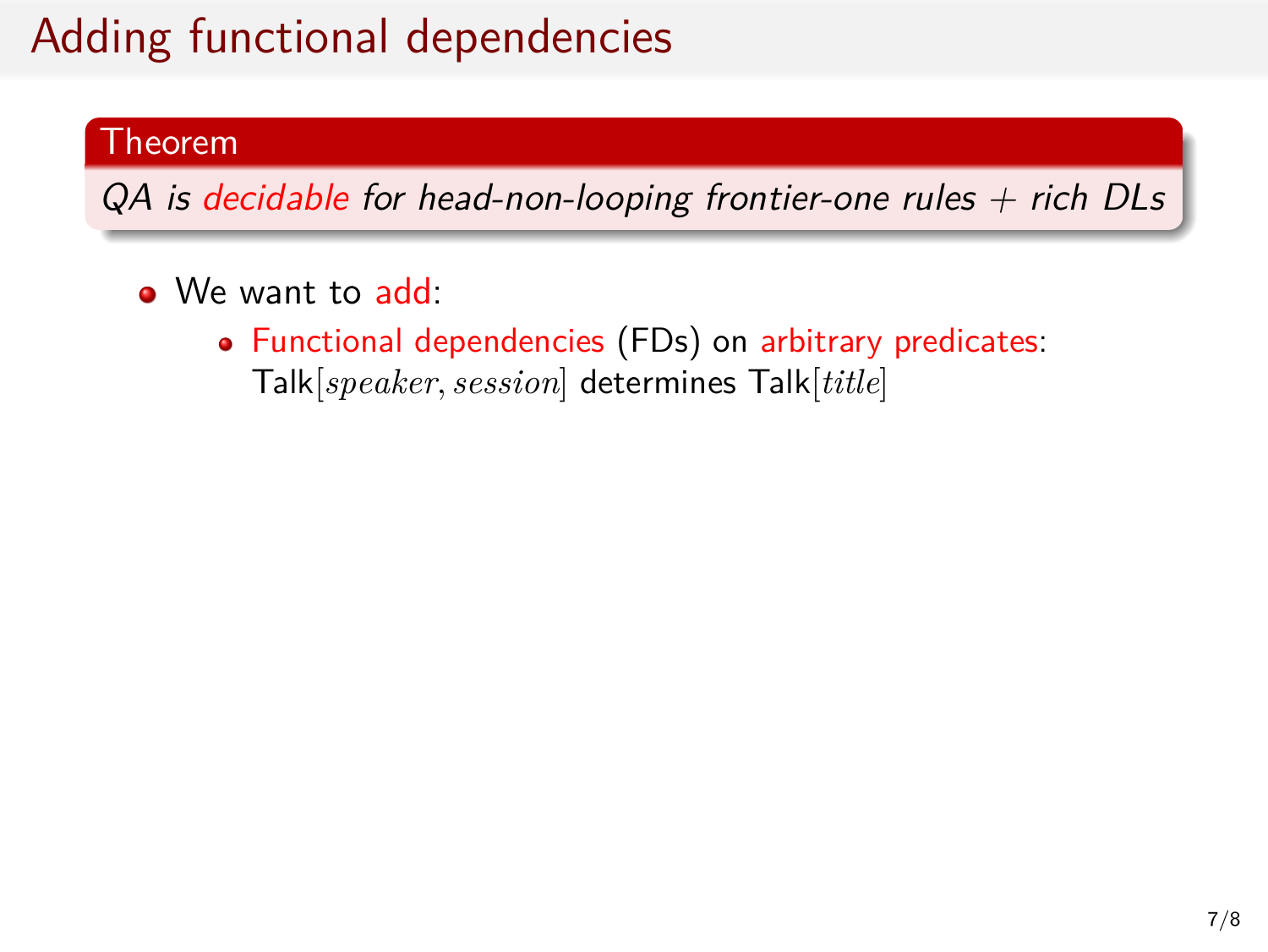#### Theorem

- We want to add:
	- Functional dependencies (FDs) on arbitrary predicates: Talk[*speaker, session*] determines Talk[*title*]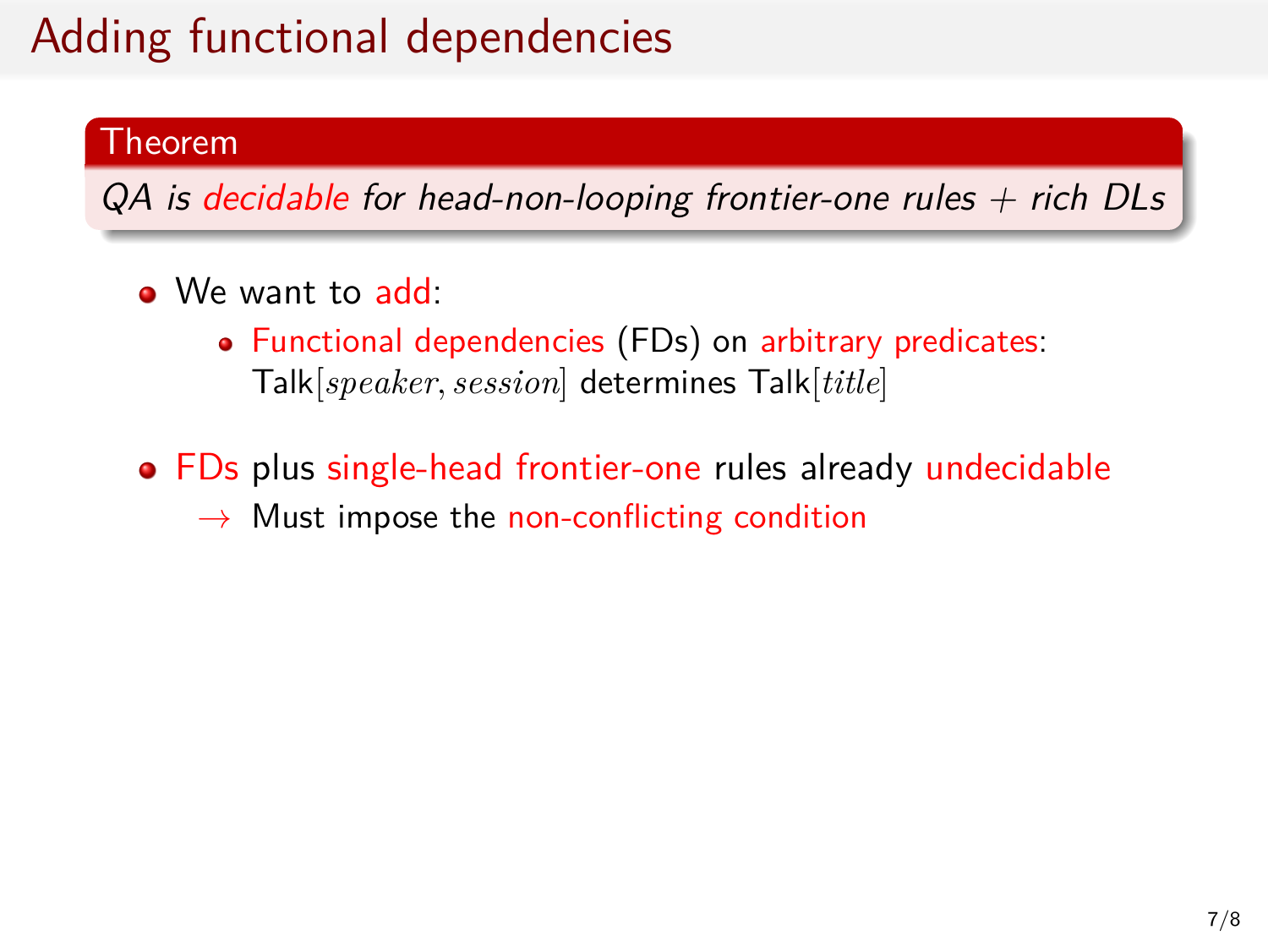#### Theorem

- We want to add:
	- Functional dependencies (FDs) on arbitrary predicates: Talk[*speaker, session*] determines Talk[*title*]
- FDs plus single-head frontier-one rules already undecidable
	- *→* Must impose the non-conflicting condition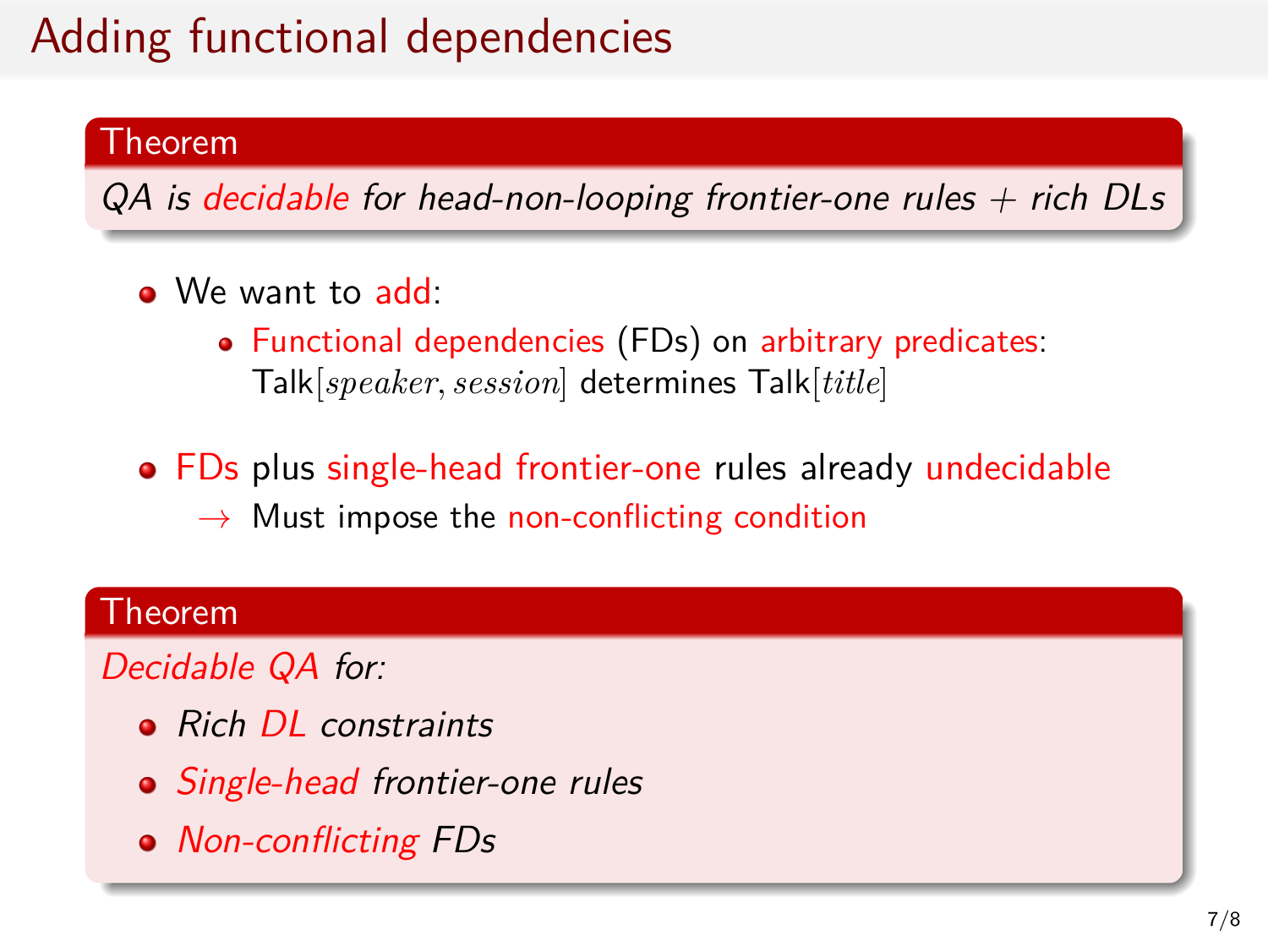#### Theorem

*QA is decidable for head-non-looping frontier-one rules + rich DLs*

- We want to add:
	- Functional dependencies (FDs) on arbitrary predicates: Talk[*speaker, session*] determines Talk[*title*]
- FDs plus single-head frontier-one rules already undecidable *→* Must impose the non-conflicting condition

### Theorem

*Decidable QA for:*

- *Rich DL constraints*
- *Single-head frontier-one rules*
- *Non-conflicting FDs*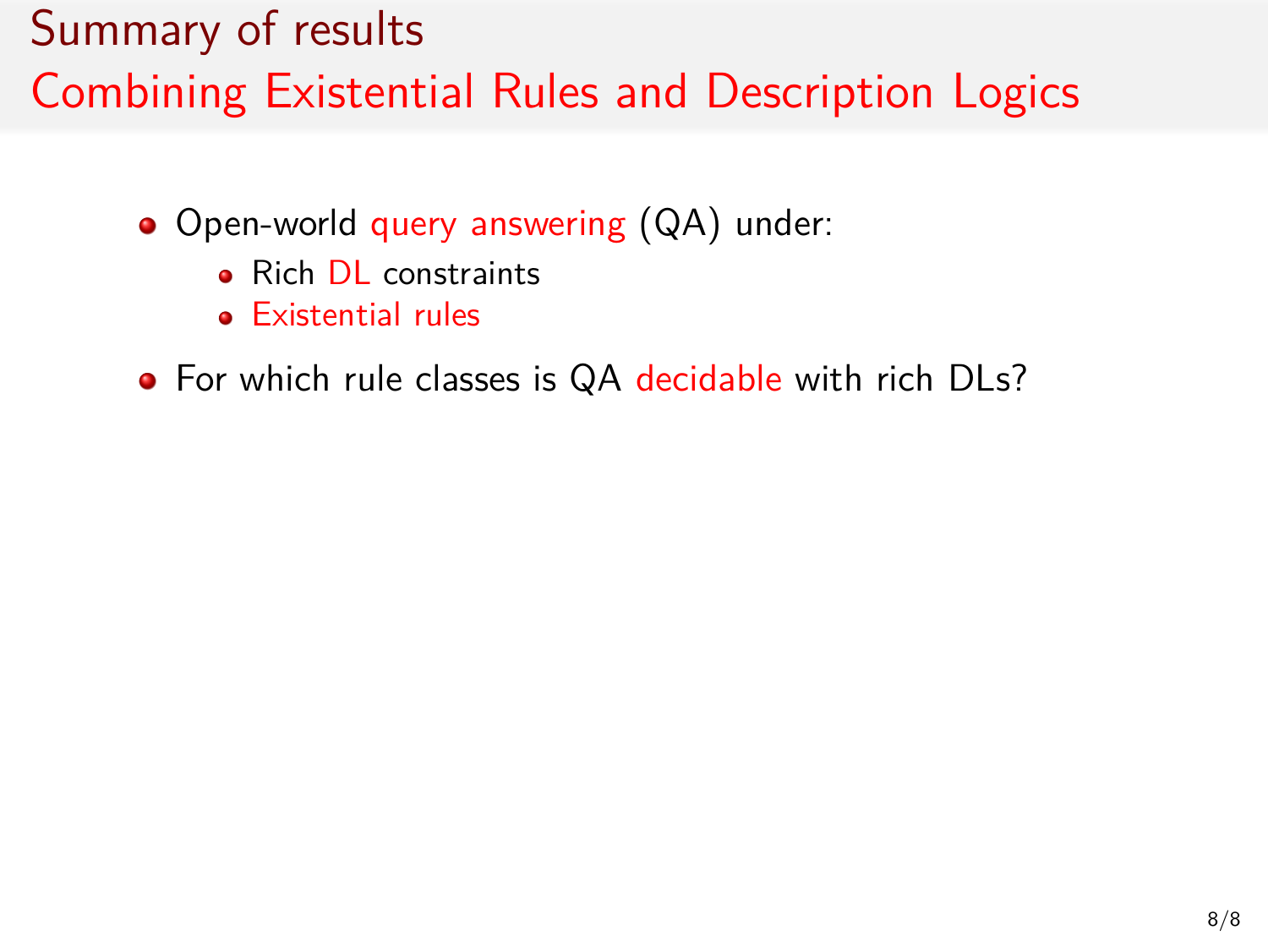- Open-world query answering (QA) under:
	- Rich DL constraints
	- **•** Existential rules
- For which rule classes is QA decidable with rich DLs?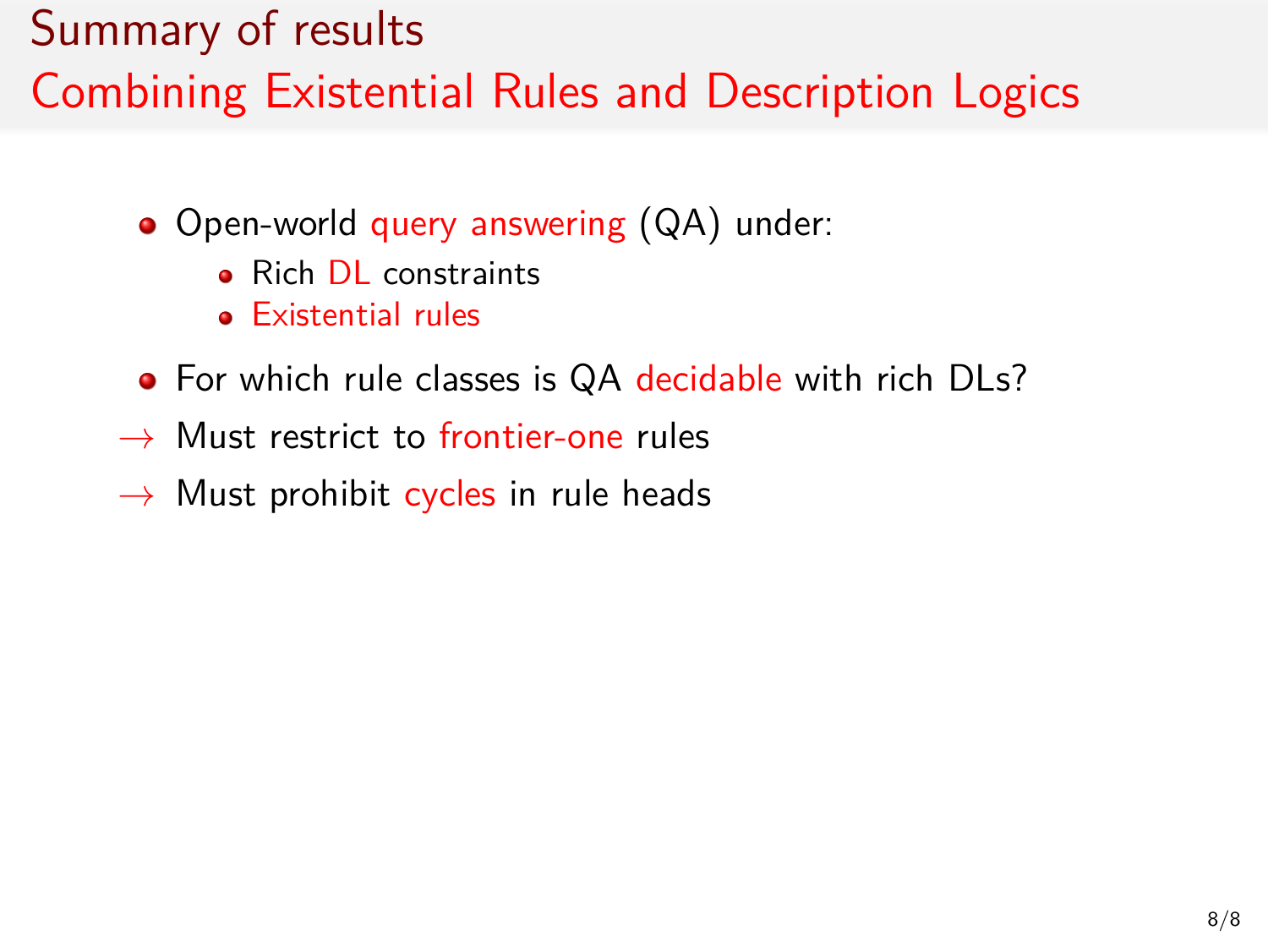- Open-world query answering (QA) under:
	- **Rich DL** constraints
	- **e** Existential rules
- For which rule classes is QA decidable with rich DLs?
- *→* Must restrict to frontier-one rules
- *→* Must prohibit cycles in rule heads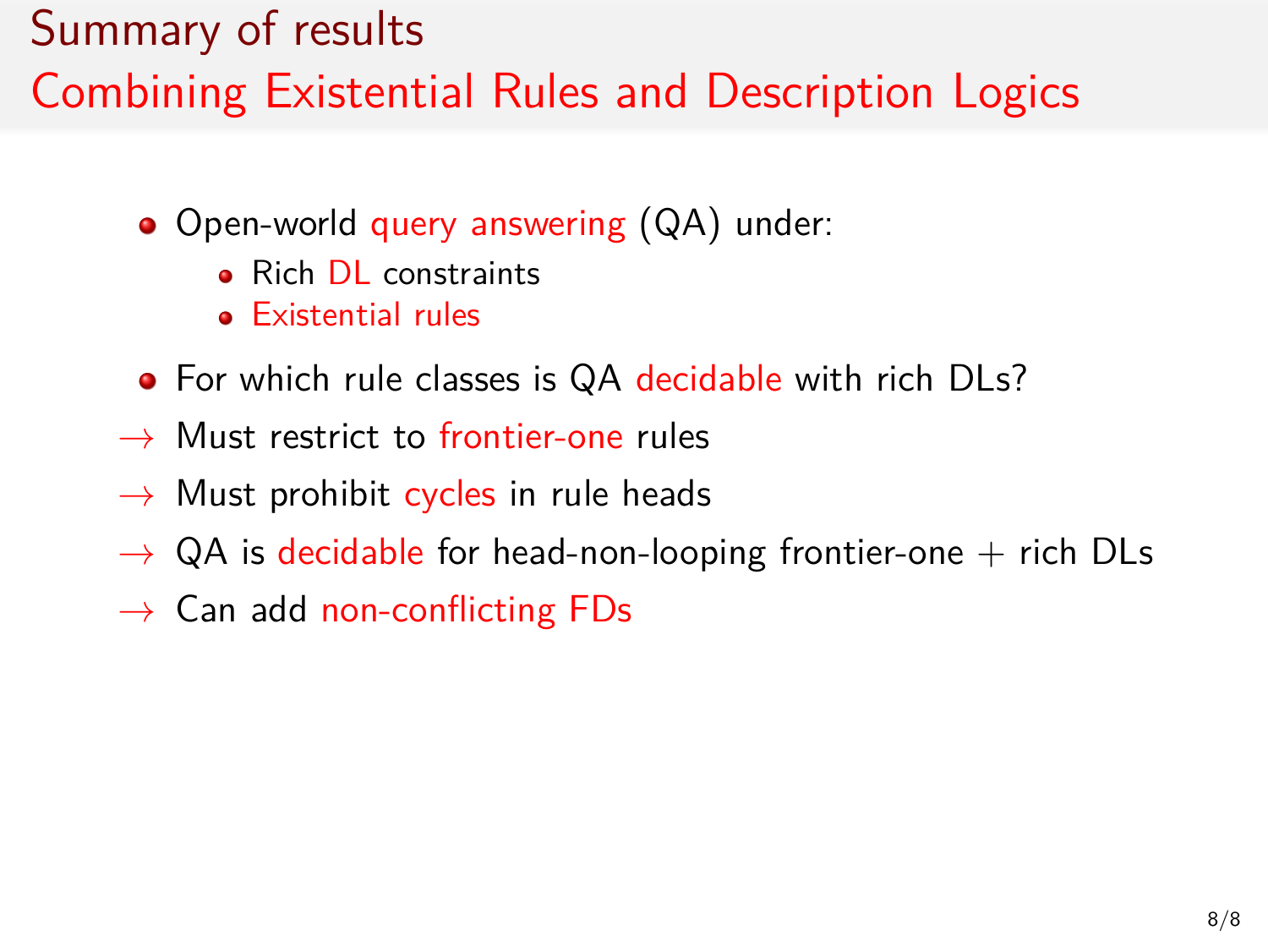- Open-world query answering (QA) under:
	- **Rich DL** constraints
	- Existential rules
- For which rule classes is QA decidable with rich DLs?
- *→* Must restrict to frontier-one rules
- *→* Must prohibit cycles in rule heads
- $\rightarrow$  QA is decidable for head-non-looping frontier-one  $+$  rich DLs
- *→* Can add non-conflicting FDs